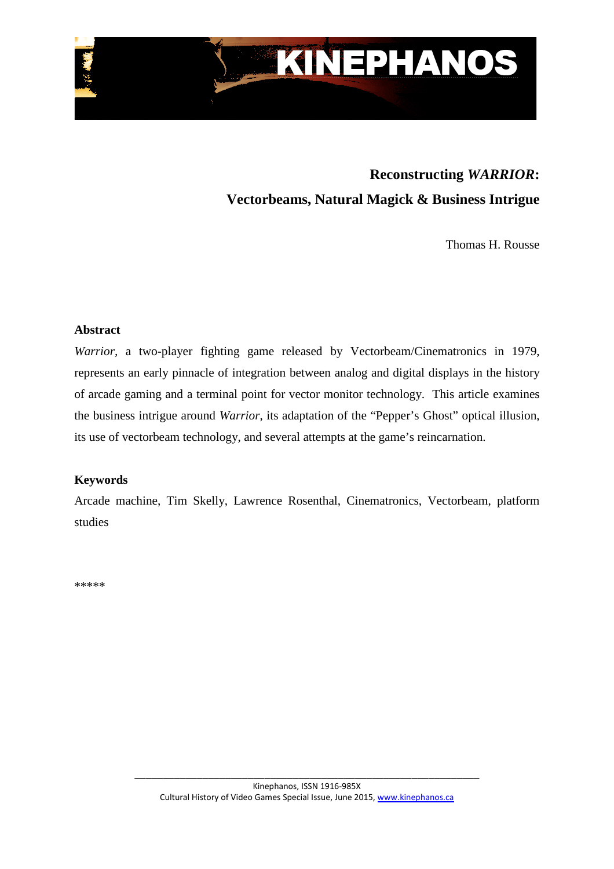

# **Reconstructing** *WARRIOR***: Vectorbeams, Natural Magick & Business Intrigue**

Thomas H. Rousse

## **Abstract**

*Warrior,* a two-player fighting game released by Vectorbeam/Cinematronics in 1979, represents an early pinnacle of integration between analog and digital displays in the history of arcade gaming and a terminal point for vector monitor technology. This article examines the business intrigue around *Warrior*, its adaptation of the "Pepper's Ghost" optical illusion, its use of vectorbeam technology, and several attempts at the game's reincarnation.

# **Keywords**

Arcade machine, Tim Skelly, Lawrence Rosenthal, Cinematronics, Vectorbeam, platform studies

\*\*\*\*\*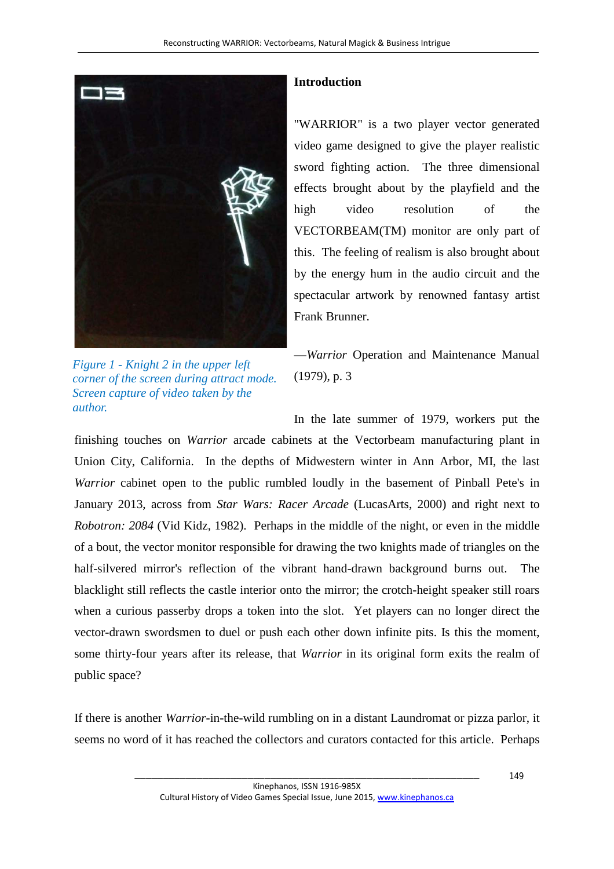

*Figure 1 - Knight 2 in the upper left corner of the screen during attract mode. Screen capture of video taken by the author.*

# **Introduction**

"WARRIOR" is a two player vector generated video game designed to give the player realistic sword fighting action. The three dimensional effects brought about by the playfield and the high video resolution of the VECTORBEAM(TM) monitor are only part of this. The feeling of realism is also brought about by the energy hum in the audio circuit and the spectacular artwork by renowned fantasy artist Frank Brunner.

—*Warrior* Operation and Maintenance Manual (1979), p. 3

In the late summer of 1979, workers put the finishing touches on *Warrior* arcade cabinets at the Vectorbeam manufacturing plant in Union City, California. In the depths of Midwestern winter in Ann Arbor, MI, the last *Warrior* cabinet open to the public rumbled loudly in the basement of Pinball Pete's in January 2013, across from *Star Wars: Racer Arcade* (LucasArts, 2000) and right next to *Robotron: 2084* (Vid Kidz, 1982). Perhaps in the middle of the night, or even in the middle of a bout, the vector monitor responsible for drawing the two knights made of triangles on the half-silvered mirror's reflection of the vibrant hand-drawn background burns out. The blacklight still reflects the castle interior onto the mirror; the crotch-height speaker still roars when a curious passerby drops a token into the slot. Yet players can no longer direct the vector-drawn swordsmen to duel or push each other down infinite pits. Is this the moment, some thirty-four years after its release, that *Warrior* in its original form exits the realm of public space?

If there is another *Warrior-*in-the-wild rumbling on in a distant Laundromat or pizza parlor, it seems no word of it has reached the collectors and curators contacted for this article. Perhaps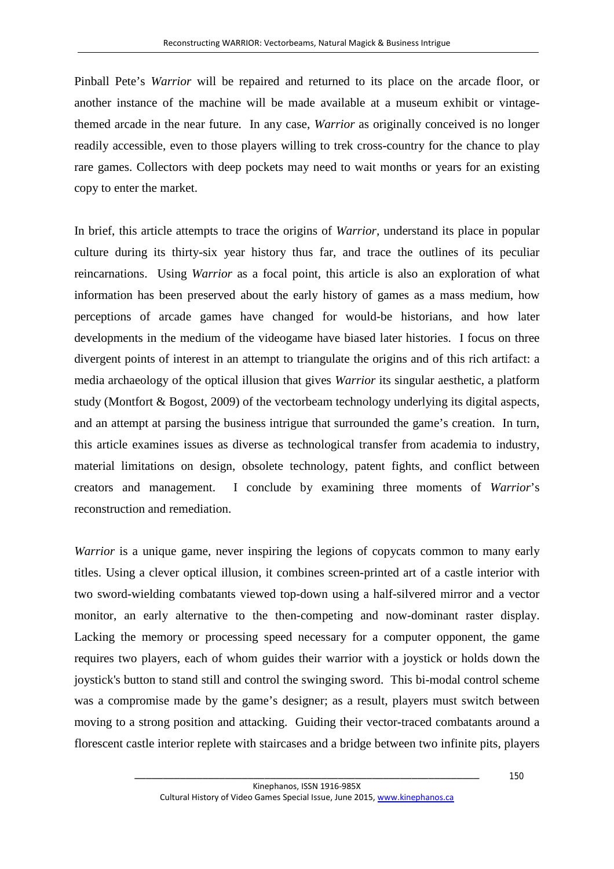Pinball Pete's *Warrior* will be repaired and returned to its place on the arcade floor, or another instance of the machine will be made available at a museum exhibit or vintagethemed arcade in the near future. In any case, *Warrior* as originally conceived is no longer readily accessible, even to those players willing to trek cross-country for the chance to play rare games. Collectors with deep pockets may need to wait months or years for an existing copy to enter the market.

In brief, this article attempts to trace the origins of *Warrior,* understand its place in popular culture during its thirty-six year history thus far, and trace the outlines of its peculiar reincarnations. Using *Warrior* as a focal point, this article is also an exploration of what information has been preserved about the early history of games as a mass medium, how perceptions of arcade games have changed for would-be historians, and how later developments in the medium of the videogame have biased later histories. I focus on three divergent points of interest in an attempt to triangulate the origins and of this rich artifact: a media archaeology of the optical illusion that gives *Warrior* its singular aesthetic, a platform study (Montfort & Bogost, 2009) of the vectorbeam technology underlying its digital aspects, and an attempt at parsing the business intrigue that surrounded the game's creation. In turn, this article examines issues as diverse as technological transfer from academia to industry, material limitations on design, obsolete technology, patent fights, and conflict between creators and management. I conclude by examining three moments of *Warrior*'s reconstruction and remediation.

*Warrior* is a unique game, never inspiring the legions of copycats common to many early titles. Using a clever optical illusion, it combines screen-printed art of a castle interior with two sword-wielding combatants viewed top-down using a half-silvered mirror and a vector monitor, an early alternative to the then-competing and now-dominant raster display. Lacking the memory or processing speed necessary for a computer opponent, the game requires two players, each of whom guides their warrior with a joystick or holds down the joystick's button to stand still and control the swinging sword. This bi-modal control scheme was a compromise made by the game's designer; as a result, players must switch between moving to a strong position and attacking. Guiding their vector-traced combatants around a florescent castle interior replete with staircases and a bridge between two infinite pits, players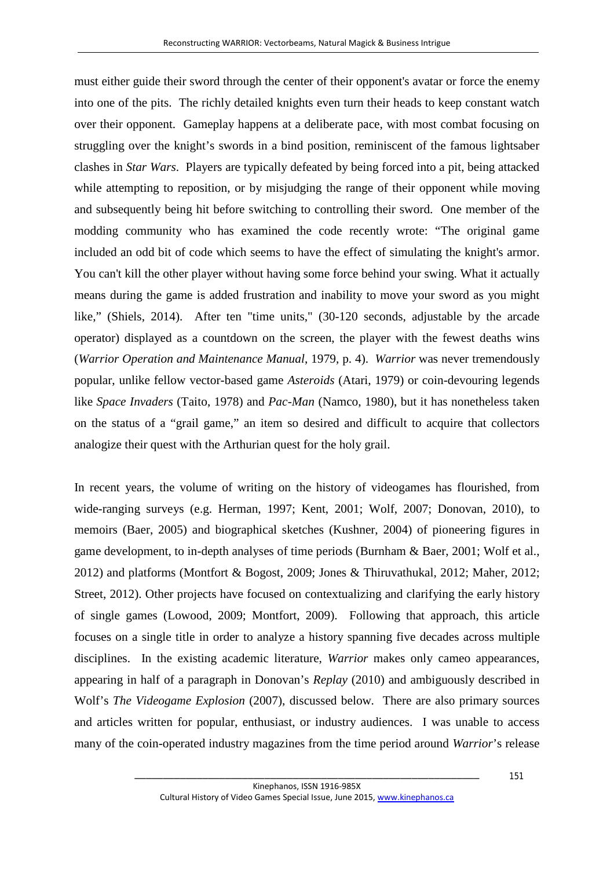must either guide their sword through the center of their opponent's avatar or force the enemy into one of the pits. The richly detailed knights even turn their heads to keep constant watch over their opponent. Gameplay happens at a deliberate pace, with most combat focusing on struggling over the knight's swords in a bind position, reminiscent of the famous lightsaber clashes in *Star Wars*. Players are typically defeated by being forced into a pit, being attacked while attempting to reposition, or by misjudging the range of their opponent while moving and subsequently being hit before switching to controlling their sword. One member of the modding community who has examined the code recently wrote: "The original game included an odd bit of code which seems to have the effect of simulating the knight's armor. You can't kill the other player without having some force behind your swing. What it actually means during the game is added frustration and inability to move your sword as you might like," (Shiels, 2014). After ten "time units," (30-120 seconds, adjustable by the arcade operator) displayed as a countdown on the screen, the player with the fewest deaths wins (*Warrior Operation and Maintenance Manual*, 1979, p. 4). *Warrior* was never tremendously popular, unlike fellow vector-based game *Asteroids* (Atari, 1979) or coin-devouring legends like *Space Invaders* (Taito, 1978) and *Pac-Man* (Namco, 1980), but it has nonetheless taken on the status of a "grail game," an item so desired and difficult to acquire that collectors analogize their quest with the Arthurian quest for the holy grail.

In recent years, the volume of writing on the history of videogames has flourished, from wide-ranging surveys (e.g. Herman, 1997; Kent, 2001; Wolf, 2007; Donovan, 2010), to memoirs (Baer, 2005) and biographical sketches (Kushner, 2004) of pioneering figures in game development, to in-depth analyses of time periods (Burnham & Baer, 2001; Wolf et al., 2012) and platforms (Montfort & Bogost, 2009; Jones & Thiruvathukal, 2012; Maher, 2012; Street, 2012). Other projects have focused on contextualizing and clarifying the early history of single games (Lowood, 2009; Montfort, 2009). Following that approach, this article focuses on a single title in order to analyze a history spanning five decades across multiple disciplines. In the existing academic literature, *Warrior* makes only cameo appearances, appearing in half of a paragraph in Donovan's *Replay* (2010) and ambiguously described in Wolf's *The Videogame Explosion* (2007), discussed below*.* There are also primary sources and articles written for popular, enthusiast, or industry audiences. I was unable to access many of the coin-operated industry magazines from the time period around *Warrior*'s release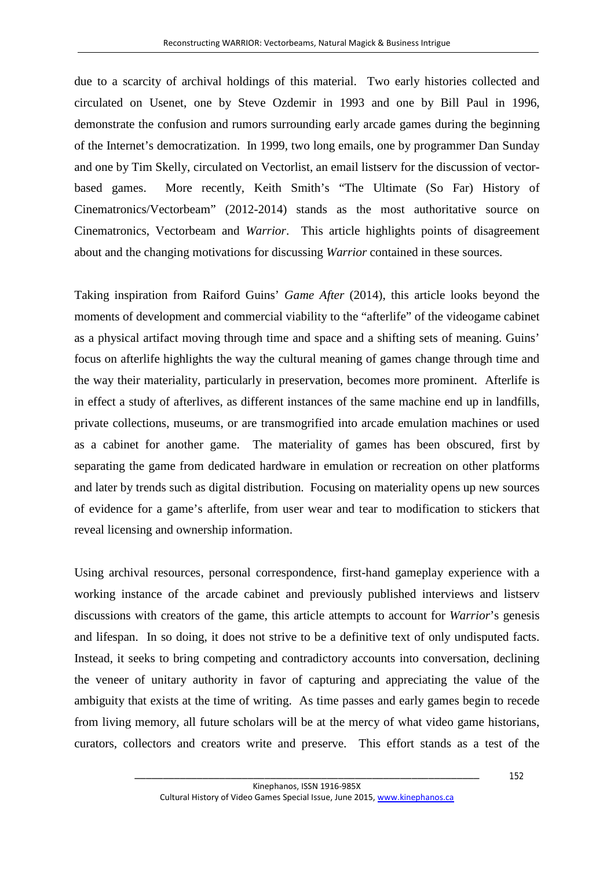due to a scarcity of archival holdings of this material. Two early histories collected and circulated on Usenet, one by Steve Ozdemir in 1993 and one by Bill Paul in 1996, demonstrate the confusion and rumors surrounding early arcade games during the beginning of the Internet's democratization. In 1999, two long emails, one by programmer Dan Sunday and one by Tim Skelly, circulated on Vectorlist, an email listserv for the discussion of vectorbased games. More recently, Keith Smith's "The Ultimate (So Far) History of Cinematronics/Vectorbeam" (2012-2014) stands as the most authoritative source on Cinematronics, Vectorbeam and *Warrior*. This article highlights points of disagreement about and the changing motivations for discussing *Warrior* contained in these sources*.*

Taking inspiration from Raiford Guins' *Game After* (2014), this article looks beyond the moments of development and commercial viability to the "afterlife" of the videogame cabinet as a physical artifact moving through time and space and a shifting sets of meaning. Guins' focus on afterlife highlights the way the cultural meaning of games change through time and the way their materiality, particularly in preservation, becomes more prominent. Afterlife is in effect a study of afterlives, as different instances of the same machine end up in landfills, private collections, museums, or are transmogrified into arcade emulation machines or used as a cabinet for another game. The materiality of games has been obscured, first by separating the game from dedicated hardware in emulation or recreation on other platforms and later by trends such as digital distribution. Focusing on materiality opens up new sources of evidence for a game's afterlife, from user wear and tear to modification to stickers that reveal licensing and ownership information.

<span id="page-4-0"></span>Using archival resources, personal correspondence, first-hand gameplay experience with a working instance of the arcade cabinet and previously published interviews and listserv discussions with creators of the game, this article attempts to account for *Warrior*'s genesis and lifespan. In so doing, it does not strive to be a definitive text of only undisputed facts. Instead, it seeks to bring competing and contradictory accounts into conversation, declining the veneer of unitary authority in favor of capturing and appreciating the value of the ambiguity that exists at the time of writing. As time passes and early games begin to recede from living memory, all future scholars will be at the mercy of what video game historians, curators, collectors and creators write and preserve. This effort stands as a test of the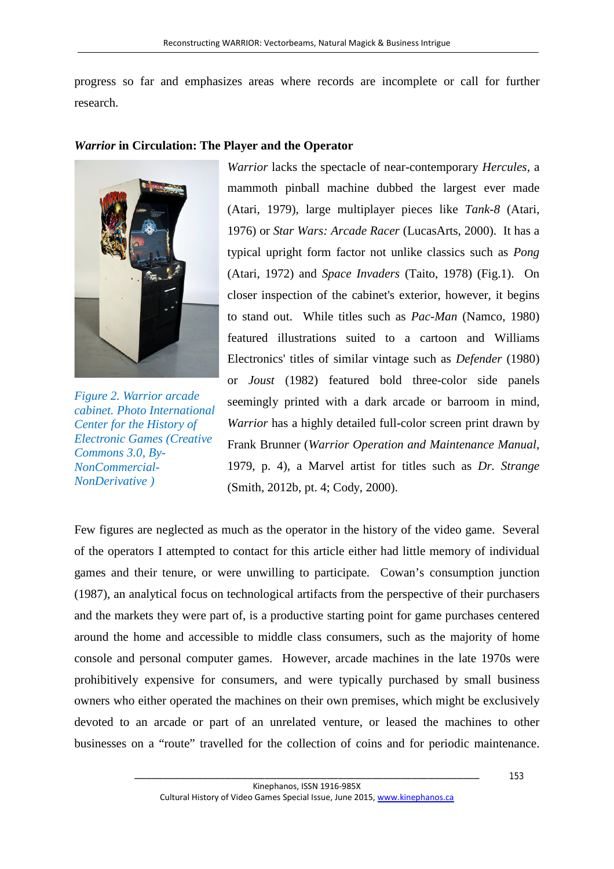progress so far and emphasizes areas where records are incomplete or call for further research.

## *Warrior* **in Circulation: The Player and the Operator**



*Figure 2. Warrior arcade cabinet. Photo International Center for the History of Electronic Games (Creative Commons 3.0, By-NonCommercial-NonDerivative )*

*Warrior* lacks the spectacle of near-contemporary *Hercules,* a mammoth pinball machine dubbed the largest ever made (Atari, 1979), large multiplayer pieces like *Tank-8* (Atari, 1976) or *Star Wars: Arcade Racer* (LucasArts, 2000). It has a typical upright form factor not unlike classics such as *Pong* (Atari, 1972) and *Space Invaders* (Taito, 1978) (Fig.1). On closer inspection of the cabinet's exterior, however, it begins to stand out. While titles such as *Pac-Man* (Namco, 1980) featured illustrations suited to a cartoon and Williams Electronics' titles of similar vintage such as *Defender* (1980) or *Joust* (1982) featured bold three-color side panels seemingly printed with a dark arcade or barroom in mind, *Warrior* has a highly detailed full-color screen print drawn by Frank Brunner (*Warrior Operation and Maintenance Manual*, 1979, p. 4), a Marvel artist for titles such as *Dr. Strange*  (Smith, 2012b, pt. 4; Cody, 2000).

Few figures are neglected as much as the operator in the history of the video game. Several of the operators I attempted to contact for this article either had little memory of individual games and their tenure, or were unwilling to participate. Cowan's consumption junction (1987), an analytical focus on technological artifacts from the perspective of their purchasers and the markets they were part of, is a productive starting point for game purchases centered around the home and accessible to middle class consumers, such as the majority of home console and personal computer games. However, arcade machines in the late 1970s were prohibitively expensive for consumers, and were typically purchased by small business owners who either operated the machines on their own premises, which might be exclusively devoted to an arcade or part of an unrelated venture, or leased the machines to other businesses on a "route" travelled for the collection of coins and for periodic maintenance.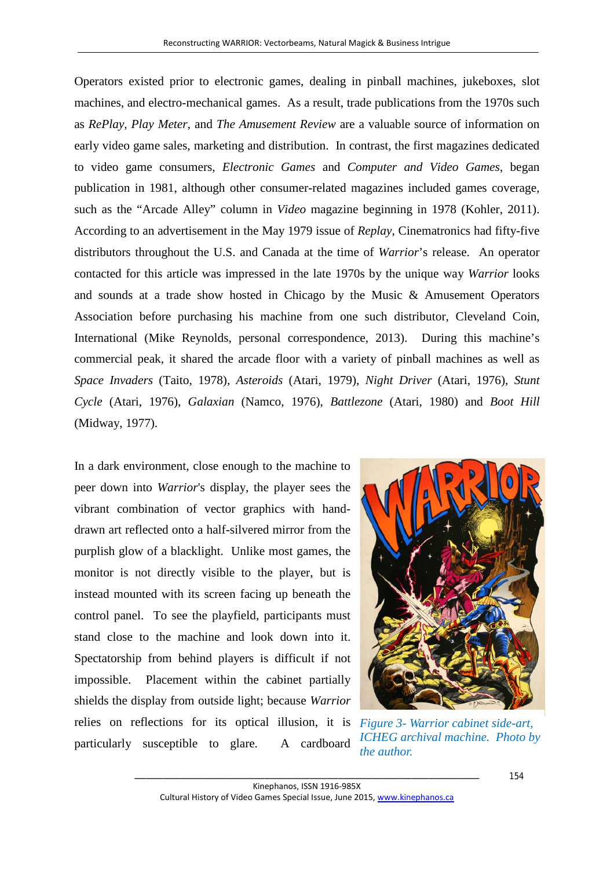Operators existed prior to electronic games, dealing in pinball machines, jukeboxes, slot machines, and electro-mechanical games. As a result, trade publications from the 1970s such as *RePlay, Play Meter,* and *The Amusement Review* are a valuable source of information on early video game sales, marketing and distribution. In contrast, the first magazines dedicated to video game consumers, *Electronic Games* and *Computer and Video Games*, began publication in 1981, although other consumer-related magazines included games coverage, such as the "Arcade Alley" column in *Video* magazine beginning in 1978 (Kohler, 2011). According to an advertisement in the May 1979 issue of *Replay*, Cinematronics had fifty-five distributors throughout the U.S. and Canada at the time of *Warrior*'s release. An operator contacted for this article was impressed in the late 1970s by the unique way *Warrior* looks and sounds at a trade show hosted in Chicago by the Music & Amusement Operators Association before purchasing his machine from one such distributor, Cleveland Coin, International (Mike Reynolds, personal correspondence, 2013). During this machine's commercial peak, it shared the arcade floor with a variety of pinball machines as well as *Space Invaders* (Taito, 1978), *Asteroids* (Atari, 1979), *Night Driver* (Atari, 1976), *Stunt Cycle* (Atari, 1976), *Galaxian* (Namco, 1976), *Battlezone* (Atari, 1980) and *Boot Hill* (Midway, 1977).

In a dark environment, close enough to the machine to peer down into *Warrior*'s display, the player sees the vibrant combination of vector graphics with handdrawn art reflected onto a half-silvered mirror from the purplish glow of a blacklight. Unlike most games, the monitor is not directly visible to the player, but is instead mounted with its screen facing up beneath the control panel. To see the playfield, participants must stand close to the machine and look down into it. Spectatorship from behind players is difficult if not impossible. Placement within the cabinet partially shields the display from outside light; because *Warrior* relies on reflections for its optical illusion, it is *Figure 3- Warrior cabinet side-art,*  particularly susceptible to glare. A cardboard



*ICHEG archival machine. Photo by the author.*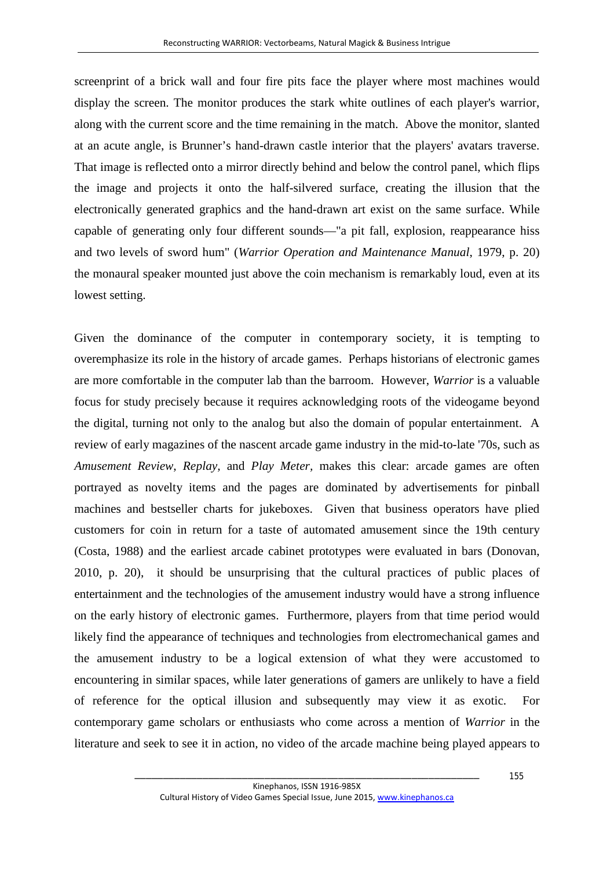screenprint of a brick wall and four fire pits face the player where most machines would display the screen. The monitor produces the stark white outlines of each player's warrior, along with the current score and the time remaining in the match. Above the monitor, slanted at an acute angle, is Brunner's hand-drawn castle interior that the players' avatars traverse. That image is reflected onto a mirror directly behind and below the control panel, which flips the image and projects it onto the half-silvered surface, creating the illusion that the electronically generated graphics and the hand-drawn art exist on the same surface. While capable of generating only four different sounds—"a pit fall, explosion, reappearance hiss and two levels of sword hum" (*Warrior Operation and Maintenance Manual*, 1979, p. 20) the monaural speaker mounted just above the coin mechanism is remarkably loud, even at its lowest setting.

Given the dominance of the computer in contemporary society, it is tempting to overemphasize its role in the history of arcade games. Perhaps historians of electronic games are more comfortable in the computer lab than the barroom. However, *Warrior* is a valuable focus for study precisely because it requires acknowledging roots of the videogame beyond the digital, turning not only to the analog but also the domain of popular entertainment. A review of early magazines of the nascent arcade game industry in the mid-to-late '70s, such as *Amusement Review*, *Replay,* and *Play Meter,* makes this clear: arcade games are often portrayed as novelty items and the pages are dominated by advertisements for pinball machines and bestseller charts for jukeboxes. Given that business operators have plied customers for coin in return for a taste of automated amusement since the 19th century (Costa, 1988) and the earliest arcade cabinet prototypes were evaluated in bars (Donovan, 2010, p. 20), it should be unsurprising that the cultural practices of public places of entertainment and the technologies of the amusement industry would have a strong influence on the early history of electronic games. Furthermore, players from that time period would likely find the appearance of techniques and technologies from electromechanical games and the amusement industry to be a logical extension of what they were accustomed to encountering in similar spaces, while later generations of gamers are unlikely to have a field of reference for the optical illusion and subsequently may view it as exotic. For contemporary game scholars or enthusiasts who come across a mention of *Warrior* in the literature and seek to see it in action*,* no video of the arcade machine being played appears to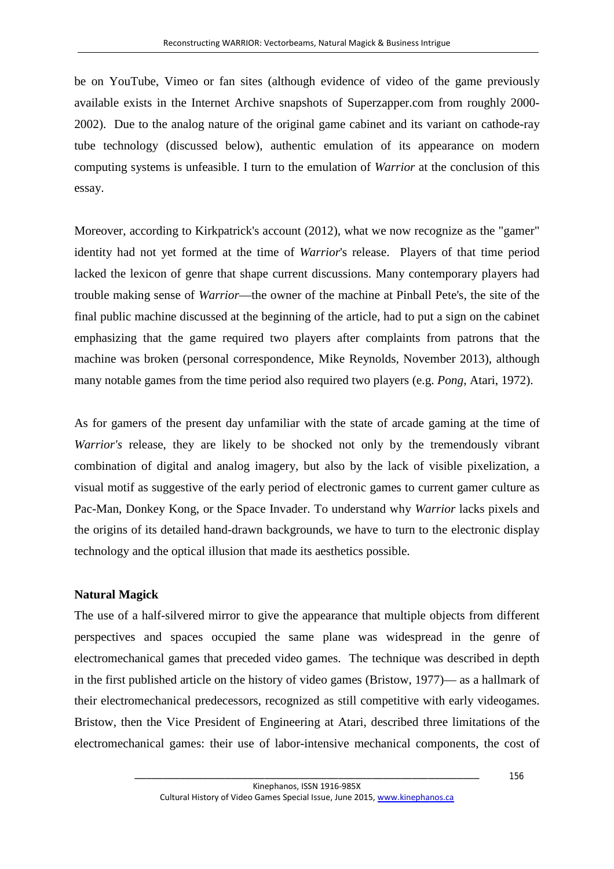be on YouTube, Vimeo or fan sites (although evidence of video of the game previously available exists in the Internet Archive snapshots of Superzapper.com from roughly 2000- 2002). Due to the analog nature of the original game cabinet and its variant on cathode-ray tube technology (discussed below), authentic emulation of its appearance on modern computing systems is unfeasible. I turn to the emulation of *Warrior* at the conclusion of this essay.

Moreover, according to Kirkpatrick's account (2012), what we now recognize as the "gamer" identity had not yet formed at the time of *Warrior*'s release. Players of that time period lacked the lexicon of genre that shape current discussions. Many contemporary players had trouble making sense of *Warrior*—the owner of the machine at Pinball Pete's, the site of the final public machine discussed at the beginning of the article, had to put a sign on the cabinet emphasizing that the game required two players after complaints from patrons that the machine was broken (personal correspondence, Mike Reynolds, November 2013), although many notable games from the time period also required two players (e.g. *Pong*, Atari, 1972).

As for gamers of the present day unfamiliar with the state of arcade gaming at the time of *Warrior's* release, they are likely to be shocked not only by the tremendously vibrant combination of digital and analog imagery, but also by the lack of visible pixelization, a visual motif as suggestive of the early period of electronic games to current gamer culture as Pac-Man, Donkey Kong, or the Space Invader. To understand why *Warrior* lacks pixels and the origins of its detailed hand-drawn backgrounds, we have to turn to the electronic display technology and the optical illusion that made its aesthetics possible.

## **Natural Magick**

The use of a half-silvered mirror to give the appearance that multiple objects from different perspectives and spaces occupied the same plane was widespread in the genre of electromechanical games that preceded video games. The technique was described in depth in the first published article on the history of video games (Bristow, 1977)— as a hallmark of their electromechanical predecessors, recognized as still competitive with early videogames. Bristow, then the Vice President of Engineering at Atari, described three limitations of the electromechanical games: their use of labor-intensive mechanical components, the cost of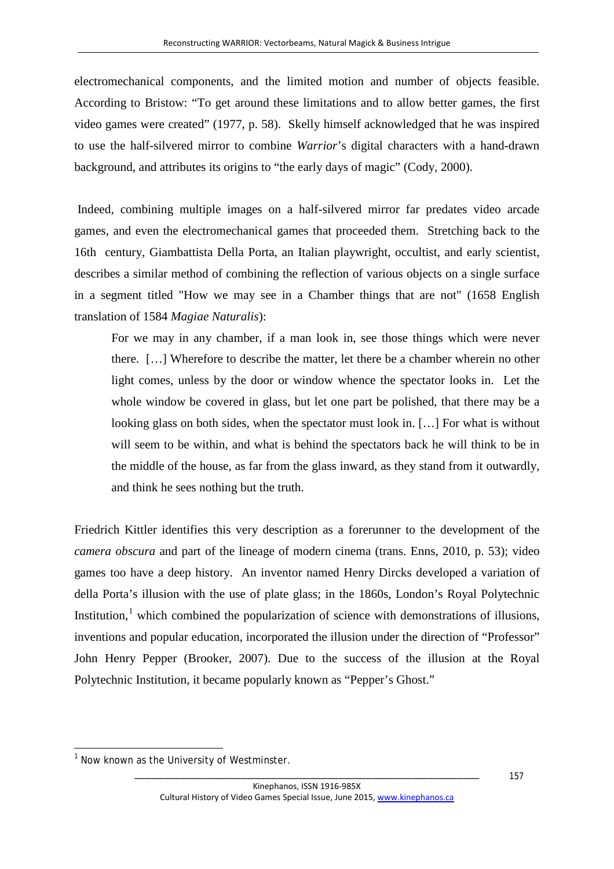electromechanical components, and the limited motion and number of objects feasible. According to Bristow: "To get around these limitations and to allow better games, the first video games were created" (1977, p. 58). Skelly himself acknowledged that he was inspired to use the half-silvered mirror to combine *Warrior*'s digital characters with a hand-drawn background, and attributes its origins to "the early days of magic" (Cody, 2000).

Indeed, combining multiple images on a half-silvered mirror far predates video arcade games, and even the electromechanical games that proceeded them. Stretching back to the 16th century, Giambattista Della Porta, an Italian playwright, occultist, and early scientist, describes a similar method of combining the reflection of various objects on a single surface in a segment titled "How we may see in a Chamber things that are not" (1658 English translation of 1584 *Magiae Naturalis*):

For we may in any chamber, if a man look in, see those things which were never there. […] Wherefore to describe the matter, let there be a chamber wherein no other light comes, unless by the door or window whence the spectator looks in. Let the whole window be covered in glass, but let one part be polished, that there may be a looking glass on both sides, when the spectator must look in. […] For what is without will seem to be within, and what is behind the spectators back he will think to be in the middle of the house, as far from the glass inward, as they stand from it outwardly, and think he sees nothing but the truth.

Friedrich Kittler identifies this very description as a forerunner to the development of the *camera obscura* and part of the lineage of modern cinema (trans. Enns, 2010, p. 53); video games too have a deep history. An inventor named Henry Dircks developed a variation of della Porta's illusion with the use of plate glass; in the 1860s, London's Royal Polytechnic Institution, $\frac{1}{1}$  $\frac{1}{1}$  $\frac{1}{1}$  which combined the popularization of science with demonstrations of illusions, inventions and popular education, incorporated the illusion under the direction of "Professor" John Henry Pepper (Brooker, 2007). Due to the success of the illusion at the Royal Polytechnic Institution, it became popularly known as "Pepper's Ghost."

<span id="page-9-0"></span> $\overline{a}$ 

 $1$  Now known as the University of Westminster.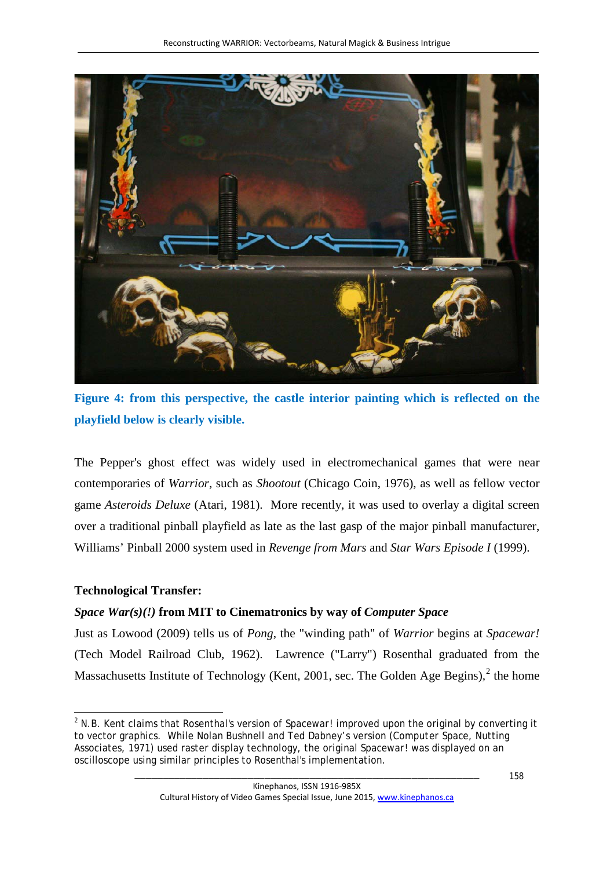

**Figure 4: from this perspective, the castle interior painting which is reflected on the playfield below is clearly visible.**

The Pepper's ghost effect was widely used in electromechanical games that were near contemporaries of *Warrior*, such as *Shootout* (Chicago Coin, 1976), as well as fellow vector game *Asteroids Deluxe* (Atari, 1981). More recently, it was used to overlay a digital screen over a traditional pinball playfield as late as the last gasp of the major pinball manufacturer, Williams' Pinball 2000 system used in *Revenge from Mars* and *Star Wars Episode I* (1999).

# **Technological Transfer:**

# *Space War(s)(!)* **from MIT to Cinematronics by way of** *Computer Space*

Just as Lowood (2009) tells us of *Pong*, the "winding path" of *Warrior* begins at *Spacewar!*  (Tech Model Railroad Club, 1962). Lawrence ("Larry") Rosenthal graduated from the Massachusetts Institute of Technology (Kent, 2001, sec. The Golden Age Begins)*,* [2](#page-9-0) the home

<span id="page-10-0"></span> $\overline{a}$ <sup>2</sup> N.B. Kent claims that Rosenthal's version of *Spacewar!* improved upon the original by converting it to vector graphics. While Nolan Bushnell and Ted Dabney's version (*Computer Space*, Nutting Associates, 1971) used raster display technology, the original *Spacewar!* was displayed on an oscilloscope using similar principles to Rosenthal's implementation.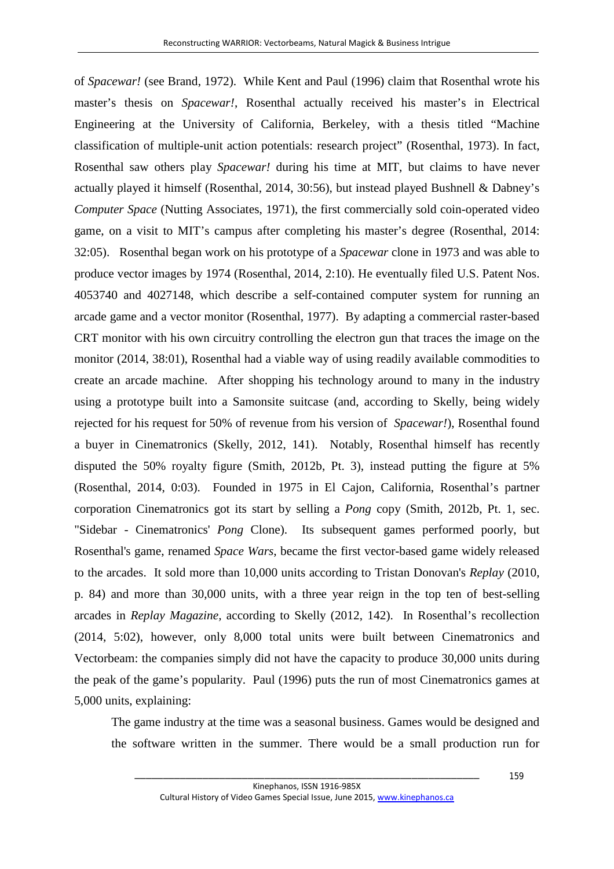of *Spacewar!* (see Brand, 1972). While Kent and Paul (1996) claim that Rosenthal wrote his master's thesis on *Spacewar!*, Rosenthal actually received his master's in Electrical Engineering at the University of California, Berkeley, with a thesis titled "Machine classification of multiple-unit action potentials: research project" (Rosenthal, 1973). In fact, Rosenthal saw others play *Spacewar!* during his time at MIT, but claims to have never actually played it himself (Rosenthal, 2014, 30:56), but instead played Bushnell & Dabney's *Computer Space* (Nutting Associates, 1971), the first commercially sold coin-operated video game, on a visit to MIT's campus after completing his master's degree (Rosenthal, 2014: 32:05). Rosenthal began work on his prototype of a *Spacewar* clone in 1973 and was able to produce vector images by 1974 (Rosenthal, 2014, 2:10). He eventually filed U.S. Patent Nos. 4053740 and 4027148, which describe a self-contained computer system for running an arcade game and a vector monitor (Rosenthal, 1977). By adapting a commercial raster-based CRT monitor with his own circuitry controlling the electron gun that traces the image on the monitor (2014, 38:01), Rosenthal had a viable way of using readily available commodities to create an arcade machine. After shopping his technology around to many in the industry using a prototype built into a Samonsite suitcase (and, according to Skelly, being widely rejected for his request for 50% of revenue from his version of *Spacewar!*), Rosenthal found a buyer in Cinematronics (Skelly, 2012, 141). Notably, Rosenthal himself has recently disputed the 50% royalty figure (Smith, 2012b, Pt. 3), instead putting the figure at 5% (Rosenthal, 2014, 0:03). Founded in 1975 in El Cajon, California, Rosenthal's partner corporation Cinematronics got its start by selling a *Pong* copy (Smith, 2012b, Pt. 1, sec. "Sidebar - Cinematronics' *Pong* Clone). Its subsequent games performed poorly, but Rosenthal's game, renamed *Space Wars*, became the first vector-based game widely released to the arcades. It sold more than 10,000 units according to Tristan Donovan's *Replay* (2010, p. 84) and more than 30,000 units, with a three year reign in the top ten of best-selling arcades in *Replay Magazine,* according to Skelly (2012, 142). In Rosenthal's recollection (2014, 5:02), however, only 8,000 total units were built between Cinematronics and Vectorbeam: the companies simply did not have the capacity to produce 30,000 units during the peak of the game's popularity. Paul (1996) puts the run of most Cinematronics games at 5,000 units, explaining:

The game industry at the time was a seasonal business. Games would be designed and the software written in the summer. There would be a small production run for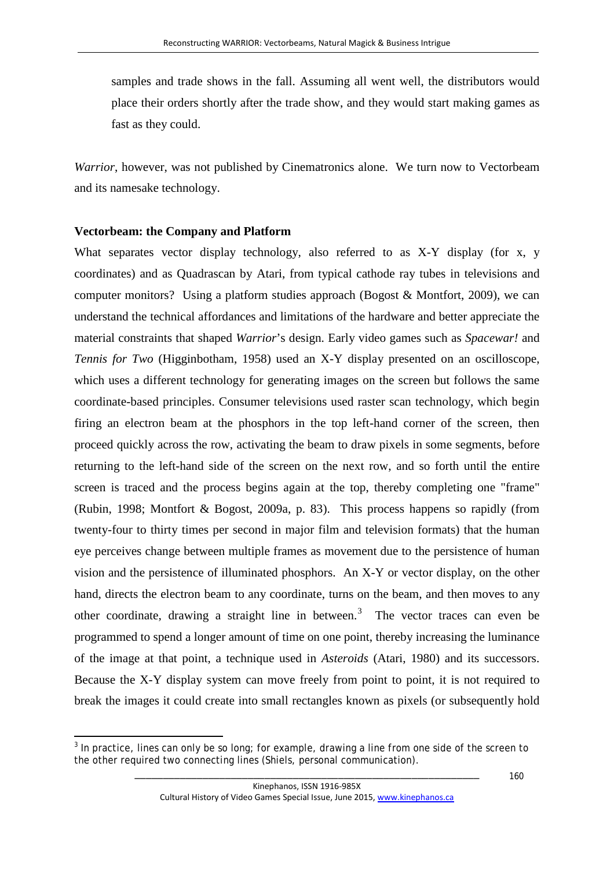samples and trade shows in the fall. Assuming all went well, the distributors would place their orders shortly after the trade show, and they would start making games as fast as they could.

*Warrior*, however, was not published by Cinematronics alone. We turn now to Vectorbeam and its namesake technology.

#### **Vectorbeam: the Company and Platform**

 $\overline{a}$ 

What separates vector display technology, also referred to as X-Y display (for x, y coordinates) and as Quadrascan by Atari, from typical cathode ray tubes in televisions and computer monitors? Using a platform studies approach (Bogost & Montfort, 2009), we can understand the technical affordances and limitations of the hardware and better appreciate the material constraints that shaped *Warrior*'s design. Early video games such as *Spacewar!* and *Tennis for Two* (Higginbotham, 1958) used an X-Y display presented on an oscilloscope, which uses a different technology for generating images on the screen but follows the same coordinate-based principles. Consumer televisions used raster scan technology, which begin firing an electron beam at the phosphors in the top left-hand corner of the screen, then proceed quickly across the row, activating the beam to draw pixels in some segments, before returning to the left-hand side of the screen on the next row, and so forth until the entire screen is traced and the process begins again at the top, thereby completing one "frame" (Rubin, 1998; Montfort & Bogost, 2009a, p. 83). This process happens so rapidly (from twenty-four to thirty times per second in major film and television formats) that the human eye perceives change between multiple frames as movement due to the persistence of human vision and the persistence of illuminated phosphors. An X-Y or vector display, on the other hand, directs the electron beam to any coordinate, turns on the beam, and then moves to any other coordinate, drawing a straight line in between.<sup>[3](#page-10-0)</sup> The vector traces can even be programmed to spend a longer amount of time on one point, thereby increasing the luminance of the image at that point, a technique used in *Asteroids* (Atari, 1980) and its successors. Because the X-Y display system can move freely from point to point, it is not required to break the images it could create into small rectangles known as pixels (or subsequently hold

<span id="page-12-0"></span> $3$  In practice, lines can only be so long; for example, drawing a line from one side of the screen to the other required two connecting lines (Shiels, personal communication).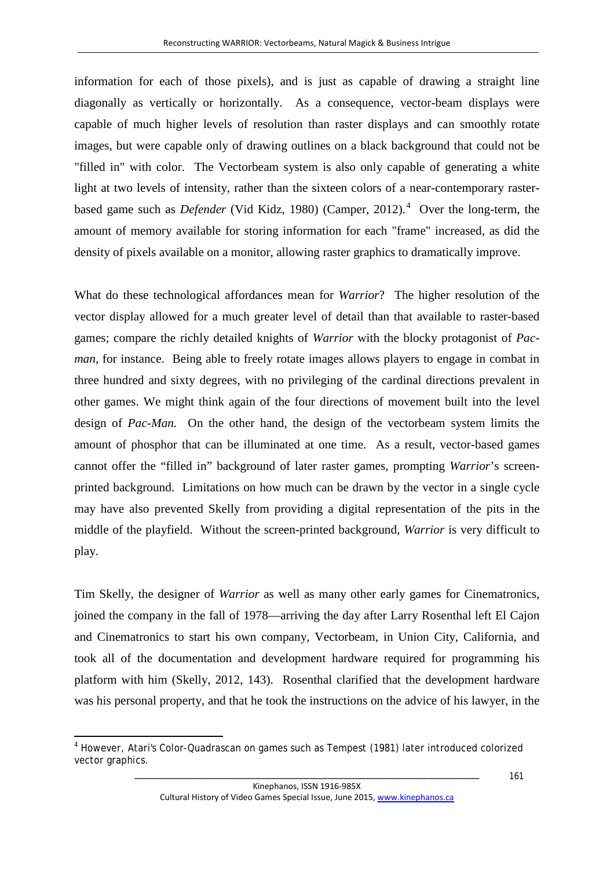information for each of those pixels), and is just as capable of drawing a straight line diagonally as vertically or horizontally. As a consequence, vector-beam displays were capable of much higher levels of resolution than raster displays and can smoothly rotate images, but were capable only of drawing outlines on a black background that could not be "filled in" with color. The Vectorbeam system is also only capable of generating a white light at two levels of intensity, rather than the sixteen colors of a near-contemporary rasterbased game such as *Defender* (Vid Kidz, 1980) (Camper, 2012).<sup>[4](#page-12-0)</sup> Over the long-term, the amount of memory available for storing information for each "frame" increased, as did the density of pixels available on a monitor, allowing raster graphics to dramatically improve.

What do these technological affordances mean for *Warrior*? The higher resolution of the vector display allowed for a much greater level of detail than that available to raster-based games; compare the richly detailed knights of *Warrior* with the blocky protagonist of *Pacman*, for instance. Being able to freely rotate images allows players to engage in combat in three hundred and sixty degrees, with no privileging of the cardinal directions prevalent in other games. We might think again of the four directions of movement built into the level design of *Pac-Man.* On the other hand, the design of the vectorbeam system limits the amount of phosphor that can be illuminated at one time. As a result, vector-based games cannot offer the "filled in" background of later raster games, prompting *Warrior*'s screenprinted background. Limitations on how much can be drawn by the vector in a single cycle may have also prevented Skelly from providing a digital representation of the pits in the middle of the playfield. Without the screen-printed background, *Warrior* is very difficult to play.

Tim Skelly, the designer of *Warrior* as well as many other early games for Cinematronics, joined the company in the fall of 1978—arriving the day after Larry Rosenthal left El Cajon and Cinematronics to start his own company, Vectorbeam, in Union City, California, and took all of the documentation and development hardware required for programming his platform with him (Skelly, 2012, 143). Rosenthal clarified that the development hardware was his personal property, and that he took the instructions on the advice of his lawyer, in the

 $\overline{a}$ 

<span id="page-13-0"></span><sup>4</sup> However, Atari's Color-Quadrascan on games such as *Tempest* (1981) later introduced colorized vector graphics.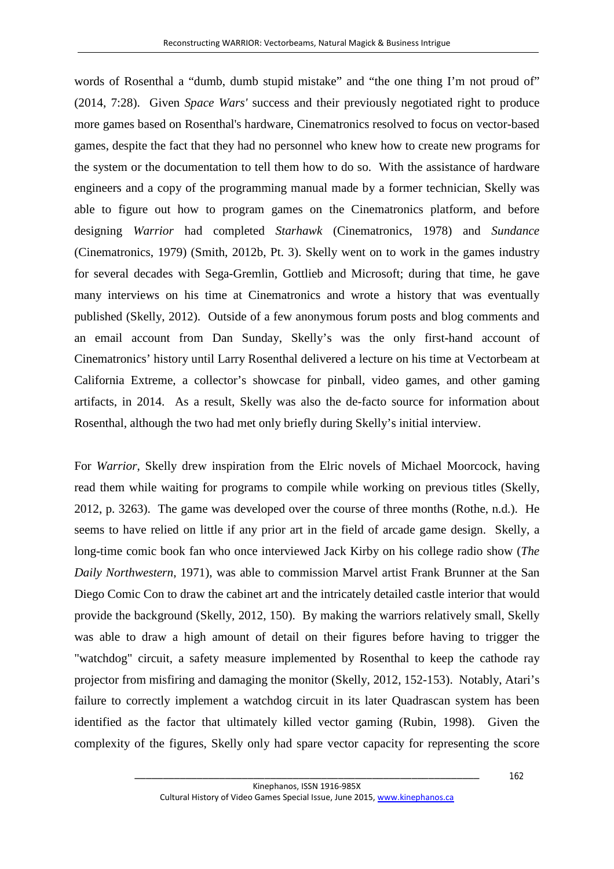words of Rosenthal a "dumb, dumb stupid mistake" and "the one thing I'm not proud of" (2014, 7:28). Given *Space Wars'* success and their previously negotiated right to produce more games based on Rosenthal's hardware, Cinematronics resolved to focus on vector-based games, despite the fact that they had no personnel who knew how to create new programs for the system or the documentation to tell them how to do so. With the assistance of hardware engineers and a copy of the programming manual made by a former technician, Skelly was able to figure out how to program games on the Cinematronics platform, and before designing *Warrior* had completed *Starhawk* (Cinematronics, 1978) and *Sundance*  (Cinematronics, 1979) (Smith, 2012b, Pt. 3). Skelly went on to work in the games industry for several decades with Sega-Gremlin, Gottlieb and Microsoft; during that time, he gave many interviews on his time at Cinematronics and wrote a history that was eventually published (Skelly, 2012). Outside of a few anonymous forum posts and blog comments and an email account from Dan Sunday, Skelly's was the only first-hand account of Cinematronics' history until Larry Rosenthal delivered a lecture on his time at Vectorbeam at California Extreme, a collector's showcase for pinball, video games, and other gaming artifacts, in 2014. As a result, Skelly was also the de-facto source for information about Rosenthal, although the two had met only briefly during Skelly's initial interview.

For *Warrior*, Skelly drew inspiration from the Elric novels of Michael Moorcock, having read them while waiting for programs to compile while working on previous titles (Skelly, 2012, p. 3263). The game was developed over the course of three months (Rothe, n.d.). He seems to have relied on little if any prior art in the field of arcade game design. Skelly, a long-time comic book fan who once interviewed Jack Kirby on his college radio show (*The Daily Northwestern*, 1971), was able to commission Marvel artist Frank Brunner at the San Diego Comic Con to draw the cabinet art and the intricately detailed castle interior that would provide the background (Skelly, 2012, 150). By making the warriors relatively small, Skelly was able to draw a high amount of detail on their figures before having to trigger the "watchdog" circuit, a safety measure implemented by Rosenthal to keep the cathode ray projector from misfiring and damaging the monitor (Skelly, 2012, 152-153). Notably, Atari's failure to correctly implement a watchdog circuit in its later Quadrascan system has been identified as the factor that ultimately killed vector gaming (Rubin, 1998). Given the complexity of the figures, Skelly only had spare vector capacity for representing the score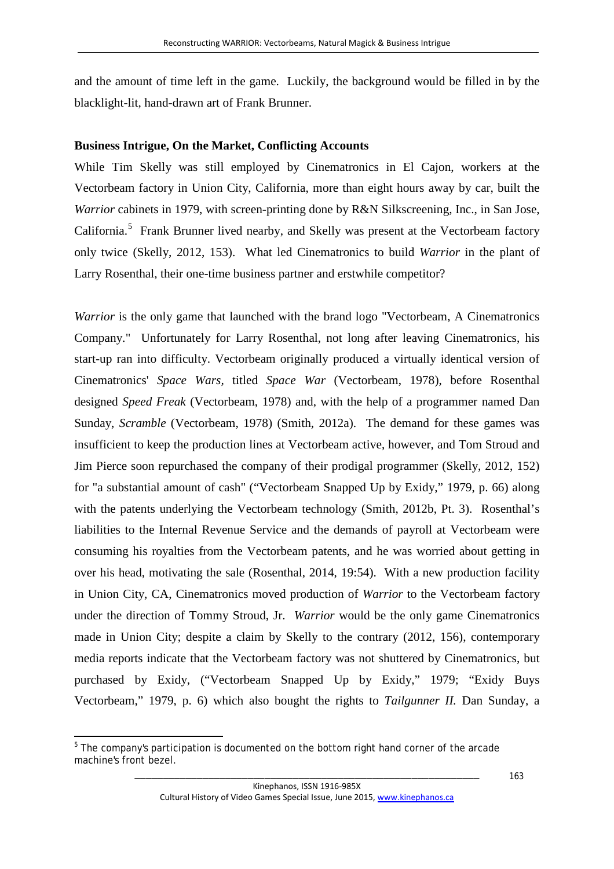and the amount of time left in the game. Luckily, the background would be filled in by the blacklight-lit, hand-drawn art of Frank Brunner.

## **Business Intrigue, On the Market, Conflicting Accounts**

While Tim Skelly was still employed by Cinematronics in El Cajon, workers at the Vectorbeam factory in Union City, California, more than eight hours away by car, built the *Warrior* cabinets in 1979, with screen-printing done by R&N Silkscreening, Inc., in San Jose, California.<sup>[5](#page-13-0)</sup> Frank Brunner lived nearby, and Skelly was present at the Vectorbeam factory only twice (Skelly, 2012, 153). What led Cinematronics to build *Warrior* in the plant of Larry Rosenthal, their one-time business partner and erstwhile competitor?

*Warrior* is the only game that launched with the brand logo "Vectorbeam, A Cinematronics Company." Unfortunately for Larry Rosenthal, not long after leaving Cinematronics, his start-up ran into difficulty. Vectorbeam originally produced a virtually identical version of Cinematronics' *Space Wars,* titled *Space War* (Vectorbeam, 1978), before Rosenthal designed *Speed Freak* (Vectorbeam, 1978) and, with the help of a programmer named Dan Sunday, *Scramble* (Vectorbeam, 1978) (Smith, 2012a). The demand for these games was insufficient to keep the production lines at Vectorbeam active, however, and Tom Stroud and Jim Pierce soon repurchased the company of their prodigal programmer (Skelly, 2012, 152) for "a substantial amount of cash" ("Vectorbeam Snapped Up by Exidy," 1979, p. 66) along with the patents underlying the Vectorbeam technology (Smith, 2012b, Pt. 3). Rosenthal's liabilities to the Internal Revenue Service and the demands of payroll at Vectorbeam were consuming his royalties from the Vectorbeam patents, and he was worried about getting in over his head, motivating the sale (Rosenthal, 2014, 19:54). With a new production facility in Union City, CA, Cinematronics moved production of *Warrior* to the Vectorbeam factory under the direction of Tommy Stroud, Jr. *Warrior* would be the only game Cinematronics made in Union City; despite a claim by Skelly to the contrary (2012, 156), contemporary media reports indicate that the Vectorbeam factory was not shuttered by Cinematronics, but purchased by Exidy, ("Vectorbeam Snapped Up by Exidy," 1979; "Exidy Buys Vectorbeam," 1979, p. 6) which also bought the rights to *Tailgunner II.* Dan Sunday, a

<span id="page-15-0"></span> $\overline{a}$  $5$  The company's participation is documented on the bottom right hand corner of the arcade machine's front bezel.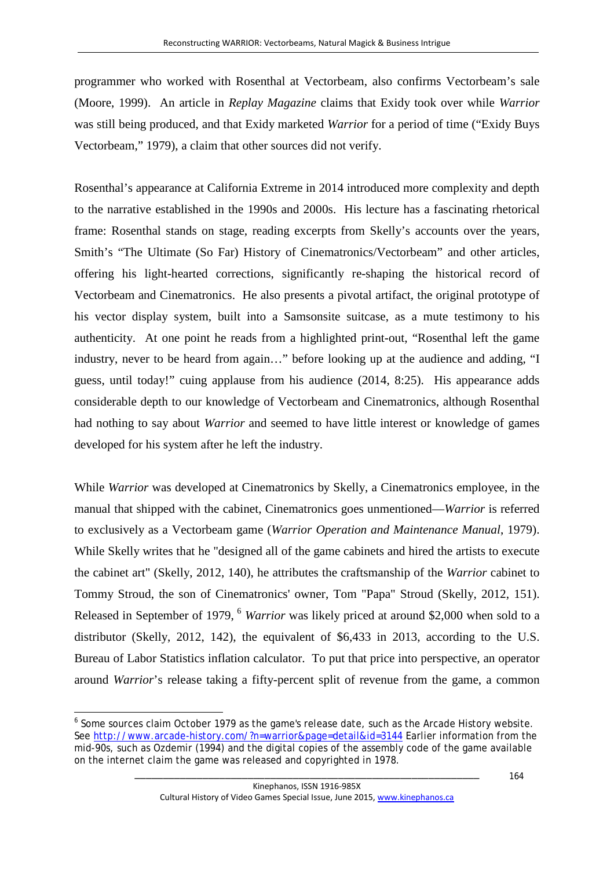programmer who worked with Rosenthal at Vectorbeam, also confirms Vectorbeam's sale (Moore, 1999). An article in *Replay Magazine* claims that Exidy took over while *Warrior* was still being produced, and that Exidy marketed *Warrior* for a period of time ("Exidy Buys Vectorbeam," 1979), a claim that other sources did not verify.

Rosenthal's appearance at California Extreme in 2014 introduced more complexity and depth to the narrative established in the 1990s and 2000s. His lecture has a fascinating rhetorical frame: Rosenthal stands on stage, reading excerpts from Skelly's accounts over the years, Smith's "The Ultimate (So Far) History of Cinematronics/Vectorbeam" and other articles, offering his light-hearted corrections, significantly re-shaping the historical record of Vectorbeam and Cinematronics. He also presents a pivotal artifact, the original prototype of his vector display system, built into a Samsonsite suitcase, as a mute testimony to his authenticity. At one point he reads from a highlighted print-out, "Rosenthal left the game industry, never to be heard from again…" before looking up at the audience and adding, "I guess, until today!" cuing applause from his audience (2014, 8:25). His appearance adds considerable depth to our knowledge of Vectorbeam and Cinematronics, although Rosenthal had nothing to say about *Warrior* and seemed to have little interest or knowledge of games developed for his system after he left the industry.

While *Warrior* was developed at Cinematronics by Skelly, a Cinematronics employee, in the manual that shipped with the cabinet, Cinematronics goes unmentioned—*Warrior* is referred to exclusively as a Vectorbeam game (*Warrior Operation and Maintenance Manual*, 1979). While Skelly writes that he "designed all of the game cabinets and hired the artists to execute the cabinet art" (Skelly, 2012, 140), he attributes the craftsmanship of the *Warrior* cabinet to Tommy Stroud, the son of Cinematronics' owner, Tom "Papa" Stroud (Skelly, 2012, 151). Released in September of 1979, [6](#page-15-0) *Warrior* was likely priced at around \$2,000 when sold to a distributor (Skelly, 2012, 142), the equivalent of \$6,433 in 2013, according to the U.S. Bureau of Labor Statistics inflation calculator. To put that price into perspective, an operator around *Warrior*'s release taking a fifty-percent split of revenue from the game, a common

 $\overline{a}$ <sup>6</sup> Some sources claim October 1979 as the game's release date, such as the Arcade History website. See<http://www.arcade-history.com/?n=warrior&page=detail&id=3144> Earlier information from the mid-90s, such as Ozdemir (1994) and the digital copies of the assembly code of the game available on the internet claim the game was released and copyrighted in 1978.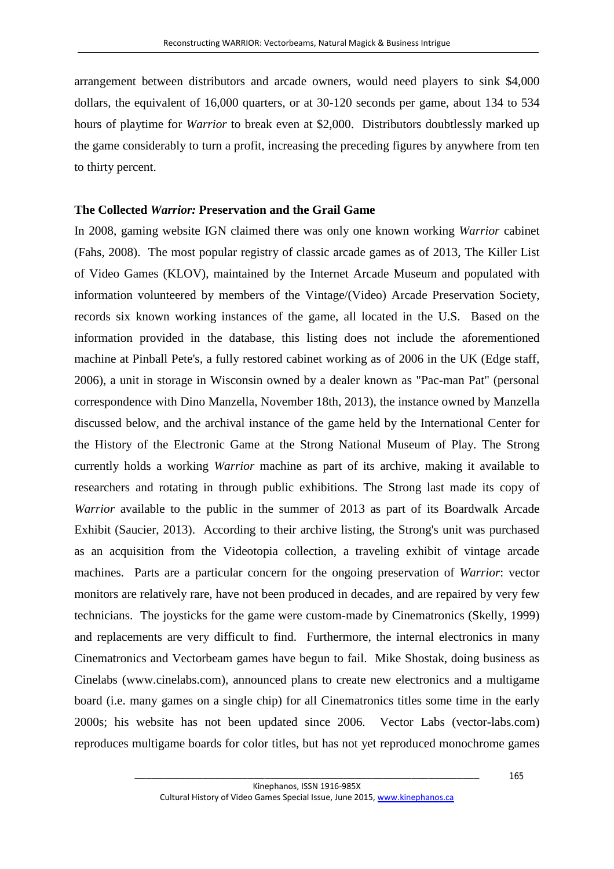arrangement between distributors and arcade owners, would need players to sink \$4,000 dollars, the equivalent of 16,000 quarters, or at 30-120 seconds per game, about 134 to 534 hours of playtime for *Warrior* to break even at \$2,000. Distributors doubtlessly marked up the game considerably to turn a profit, increasing the preceding figures by anywhere from ten to thirty percent.

#### **The Collected** *Warrior:* **Preservation and the Grail Game**

In 2008, gaming website IGN claimed there was only one known working *Warrior* cabinet (Fahs, 2008). The most popular registry of classic arcade games as of 2013, The Killer List of Video Games (KLOV), maintained by the Internet Arcade Museum and populated with information volunteered by members of the Vintage/(Video) Arcade Preservation Society, records six known working instances of the game, all located in the U.S. Based on the information provided in the database, this listing does not include the aforementioned machine at Pinball Pete's, a fully restored cabinet working as of 2006 in the UK (Edge staff, 2006), a unit in storage in Wisconsin owned by a dealer known as "Pac-man Pat" (personal correspondence with Dino Manzella, November 18th, 2013), the instance owned by Manzella discussed below, and the archival instance of the game held by the International Center for the History of the Electronic Game at the Strong National Museum of Play. The Strong currently holds a working *Warrior* machine as part of its archive, making it available to researchers and rotating in through public exhibitions. The Strong last made its copy of *Warrior* available to the public in the summer of 2013 as part of its Boardwalk Arcade Exhibit (Saucier, 2013). According to their archive listing, the Strong's unit was purchased as an acquisition from the Videotopia collection, a traveling exhibit of vintage arcade machines. Parts are a particular concern for the ongoing preservation of *Warrior*: vector monitors are relatively rare, have not been produced in decades, and are repaired by very few technicians. The joysticks for the game were custom-made by Cinematronics (Skelly, 1999) and replacements are very difficult to find. Furthermore, the internal electronics in many Cinematronics and Vectorbeam games have begun to fail. Mike Shostak, doing business as Cinelabs (www.cinelabs.com), announced plans to create new electronics and a multigame board (i.e. many games on a single chip) for all Cinematronics titles some time in the early 2000s; his website has not been updated since 2006. Vector Labs (vector-labs.com) reproduces multigame boards for color titles, but has not yet reproduced monochrome games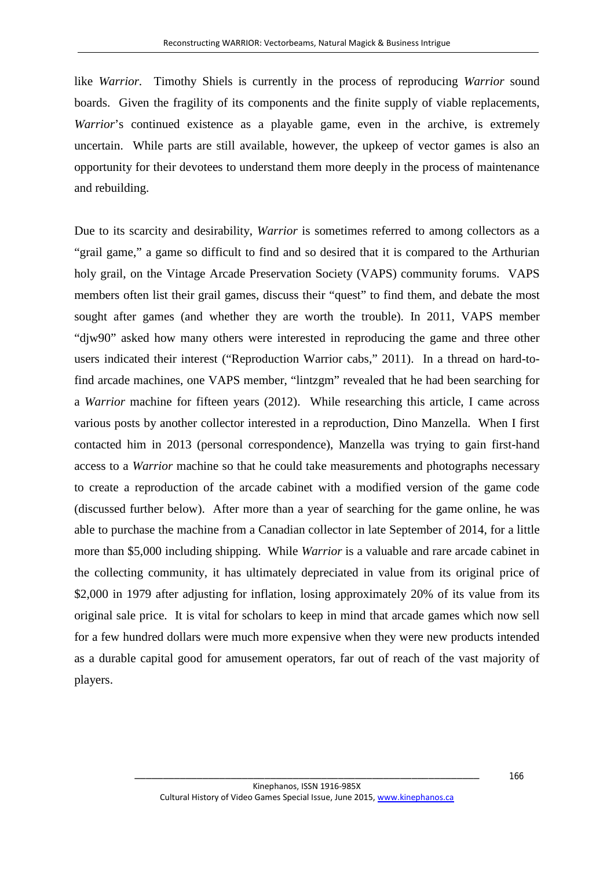like *Warrior.* Timothy Shiels is currently in the process of reproducing *Warrior* sound boards. Given the fragility of its components and the finite supply of viable replacements, *Warrior*'s continued existence as a playable game, even in the archive, is extremely uncertain. While parts are still available, however, the upkeep of vector games is also an opportunity for their devotees to understand them more deeply in the process of maintenance and rebuilding.

Due to its scarcity and desirability, *Warrior* is sometimes referred to among collectors as a "grail game," a game so difficult to find and so desired that it is compared to the Arthurian holy grail, on the Vintage Arcade Preservation Society (VAPS) community forums. VAPS members often list their grail games, discuss their "quest" to find them, and debate the most sought after games (and whether they are worth the trouble). In 2011, VAPS member "djw90" asked how many others were interested in reproducing the game and three other users indicated their interest ("Reproduction Warrior cabs," 2011). In a thread on hard-tofind arcade machines, one VAPS member, "lintzgm" revealed that he had been searching for a *Warrior* machine for fifteen years (2012). While researching this article, I came across various posts by another collector interested in a reproduction, Dino Manzella. When I first contacted him in 2013 (personal correspondence), Manzella was trying to gain first-hand access to a *Warrior* machine so that he could take measurements and photographs necessary to create a reproduction of the arcade cabinet with a modified version of the game code (discussed further below). After more than a year of searching for the game online, he was able to purchase the machine from a Canadian collector in late September of 2014, for a little more than \$5,000 including shipping. While *Warrior* is a valuable and rare arcade cabinet in the collecting community, it has ultimately depreciated in value from its original price of \$2,000 in 1979 after adjusting for inflation, losing approximately 20% of its value from its original sale price. It is vital for scholars to keep in mind that arcade games which now sell for a few hundred dollars were much more expensive when they were new products intended as a durable capital good for amusement operators, far out of reach of the vast majority of players.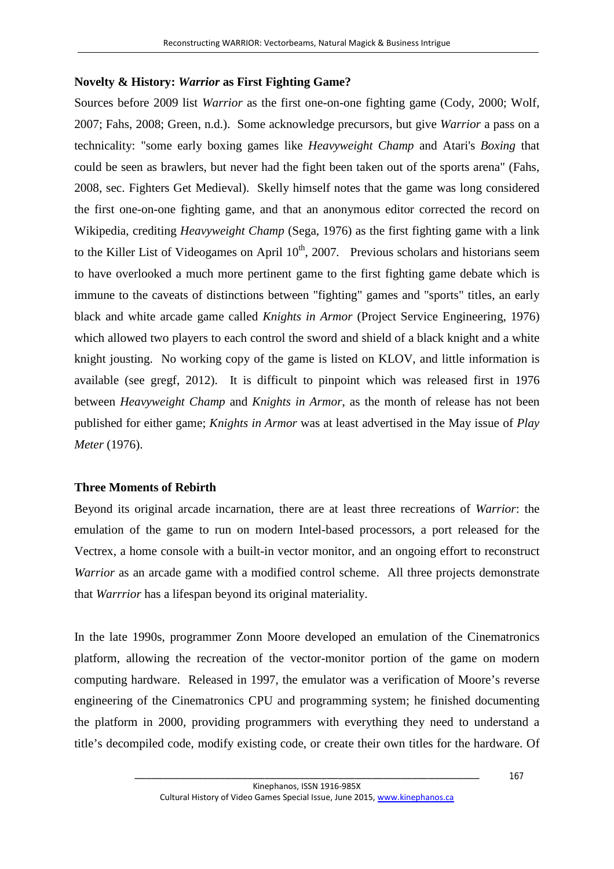## **Novelty & History:** *Warrior* **as First Fighting Game?**

Sources before 2009 list *Warrior* as the first one-on-one fighting game (Cody, 2000; Wolf, 2007; Fahs, 2008; Green, n.d.). Some acknowledge precursors, but give *Warrior* a pass on a technicality: "some early boxing games like *Heavyweight Champ* and Atari's *Boxing* that could be seen as brawlers, but never had the fight been taken out of the sports arena" (Fahs, 2008, sec. Fighters Get Medieval). Skelly himself notes that the game was long considered the first one-on-one fighting game, and that an anonymous editor corrected the record on Wikipedia, crediting *Heavyweight Champ* (Sega, 1976) as the first fighting game with a link to the Killer List of Videogames on April  $10<sup>th</sup>$ , 2007. Previous scholars and historians seem to have overlooked a much more pertinent game to the first fighting game debate which is immune to the caveats of distinctions between "fighting" games and "sports" titles, an early black and white arcade game called *Knights in Armor* (Project Service Engineering, 1976) which allowed two players to each control the sword and shield of a black knight and a white knight jousting. No working copy of the game is listed on KLOV, and little information is available (see gregf, 2012). It is difficult to pinpoint which was released first in 1976 between *Heavyweight Champ* and *Knights in Armor*, as the month of release has not been published for either game; *Knights in Armor* was at least advertised in the May issue of *Play Meter* (1976).

## **Three Moments of Rebirth**

Beyond its original arcade incarnation, there are at least three recreations of *Warrior*: the emulation of the game to run on modern Intel-based processors, a port released for the Vectrex, a home console with a built-in vector monitor, and an ongoing effort to reconstruct *Warrior* as an arcade game with a modified control scheme. All three projects demonstrate that *Warrrior* has a lifespan beyond its original materiality.

In the late 1990s, programmer Zonn Moore developed an emulation of the Cinematronics platform, allowing the recreation of the vector-monitor portion of the game on modern computing hardware. Released in 1997, the emulator was a verification of Moore's reverse engineering of the Cinematronics CPU and programming system; he finished documenting the platform in 2000, providing programmers with everything they need to understand a title's decompiled code, modify existing code, or create their own titles for the hardware. Of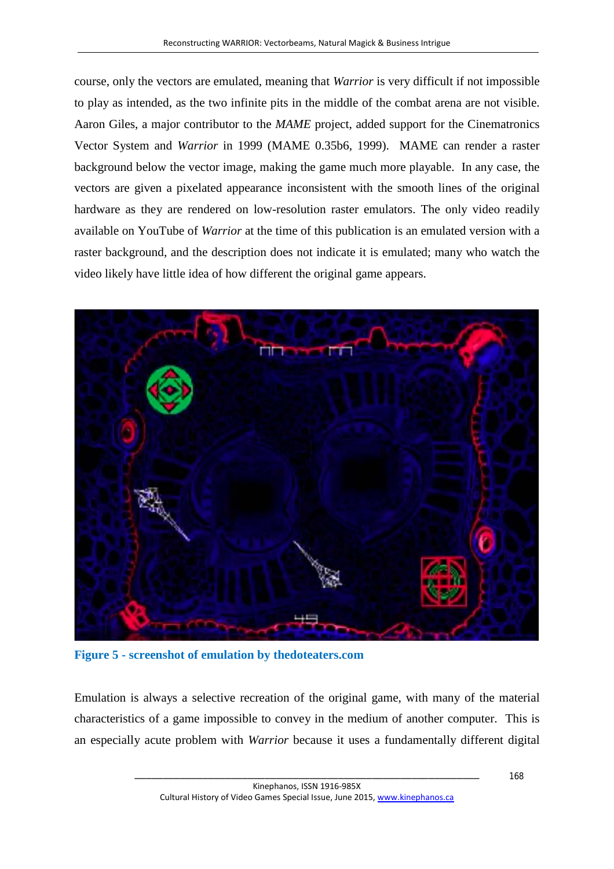course, only the vectors are emulated, meaning that *Warrior* is very difficult if not impossible to play as intended, as the two infinite pits in the middle of the combat arena are not visible. Aaron Giles, a major contributor to the *MAME* project, added support for the Cinematronics Vector System and *Warrior* in 1999 (MAME 0.35b6, 1999). MAME can render a raster background below the vector image, making the game much more playable. In any case, the vectors are given a pixelated appearance inconsistent with the smooth lines of the original hardware as they are rendered on low-resolution raster emulators. The only video readily available on YouTube of *Warrior* at the time of this publication is an emulated version with a raster background, and the description does not indicate it is emulated; many who watch the video likely have little idea of how different the original game appears.



**Figure 5 - screenshot of emulation by thedoteaters.com**

Emulation is always a selective recreation of the original game, with many of the material characteristics of a game impossible to convey in the medium of another computer. This is an especially acute problem with *Warrior* because it uses a fundamentally different digital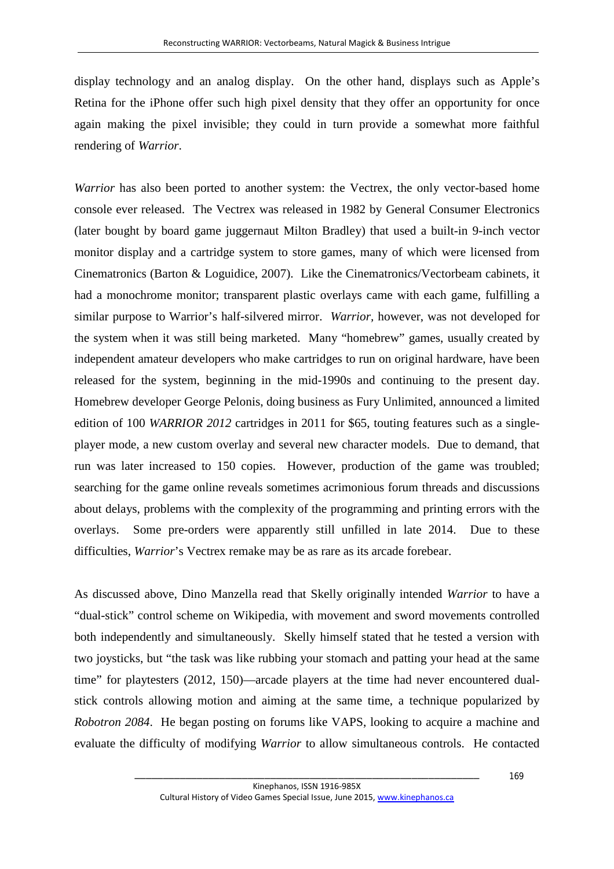display technology and an analog display. On the other hand, displays such as Apple's Retina for the iPhone offer such high pixel density that they offer an opportunity for once again making the pixel invisible; they could in turn provide a somewhat more faithful rendering of *Warrior*.

*Warrior* has also been ported to another system: the Vectrex, the only vector-based home console ever released. The Vectrex was released in 1982 by General Consumer Electronics (later bought by board game juggernaut Milton Bradley) that used a built-in 9-inch vector monitor display and a cartridge system to store games, many of which were licensed from Cinematronics (Barton & Loguidice, 2007). Like the Cinematronics/Vectorbeam cabinets, it had a monochrome monitor; transparent plastic overlays came with each game, fulfilling a similar purpose to Warrior's half-silvered mirror. *Warrior,* however, was not developed for the system when it was still being marketed. Many "homebrew" games, usually created by independent amateur developers who make cartridges to run on original hardware, have been released for the system, beginning in the mid-1990s and continuing to the present day. Homebrew developer George Pelonis, doing business as Fury Unlimited, announced a limited edition of 100 *WARRIOR 2012* cartridges in 2011 for \$65, touting features such as a singleplayer mode, a new custom overlay and several new character models. Due to demand, that run was later increased to 150 copies. However, production of the game was troubled; searching for the game online reveals sometimes acrimonious forum threads and discussions about delays, problems with the complexity of the programming and printing errors with the overlays. Some pre-orders were apparently still unfilled in late 2014. Due to these difficulties, *Warrior*'s Vectrex remake may be as rare as its arcade forebear.

As discussed above, Dino Manzella read that Skelly originally intended *Warrior* to have a "dual-stick" control scheme on Wikipedia, with movement and sword movements controlled both independently and simultaneously. Skelly himself stated that he tested a version with two joysticks, but "the task was like rubbing your stomach and patting your head at the same time" for playtesters (2012, 150)—arcade players at the time had never encountered dualstick controls allowing motion and aiming at the same time, a technique popularized by *Robotron 2084*. He began posting on forums like VAPS, looking to acquire a machine and evaluate the difficulty of modifying *Warrior* to allow simultaneous controls. He contacted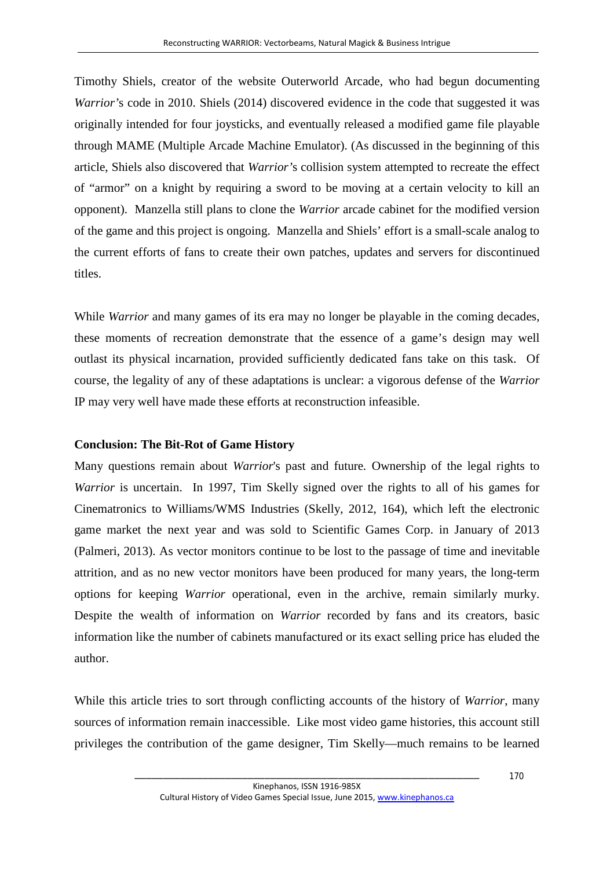Timothy Shiels, creator of the website Outerworld Arcade, who had begun documenting *Warrior'*s code in 2010. Shiels (2014) discovered evidence in the code that suggested it was originally intended for four joysticks, and eventually released a modified game file playable through MAME (Multiple Arcade Machine Emulator). (As discussed in the beginning of this article, Shiels also discovered that *Warrior'*s collision system attempted to recreate the effect of "armor" on a knight by requiring a sword to be moving at a certain velocity to kill an opponent). Manzella still plans to clone the *Warrior* arcade cabinet for the modified version of the game and this project is ongoing. Manzella and Shiels' effort is a small-scale analog to the current efforts of fans to create their own patches, updates and servers for discontinued titles.

While *Warrior* and many games of its era may no longer be playable in the coming decades, these moments of recreation demonstrate that the essence of a game's design may well outlast its physical incarnation, provided sufficiently dedicated fans take on this task. Of course, the legality of any of these adaptations is unclear: a vigorous defense of the *Warrior* IP may very well have made these efforts at reconstruction infeasible.

## **Conclusion: The Bit-Rot of Game History**

Many questions remain about *Warrior*'s past and future*.* Ownership of the legal rights to *Warrior* is uncertain. In 1997, Tim Skelly signed over the rights to all of his games for Cinematronics to Williams/WMS Industries (Skelly, 2012, 164), which left the electronic game market the next year and was sold to Scientific Games Corp. in January of 2013 (Palmeri, 2013). As vector monitors continue to be lost to the passage of time and inevitable attrition, and as no new vector monitors have been produced for many years, the long-term options for keeping *Warrior* operational, even in the archive, remain similarly murky. Despite the wealth of information on *Warrior* recorded by fans and its creators, basic information like the number of cabinets manufactured or its exact selling price has eluded the author.

While this article tries to sort through conflicting accounts of the history of *Warrior*, many sources of information remain inaccessible. Like most video game histories, this account still privileges the contribution of the game designer, Tim Skelly—much remains to be learned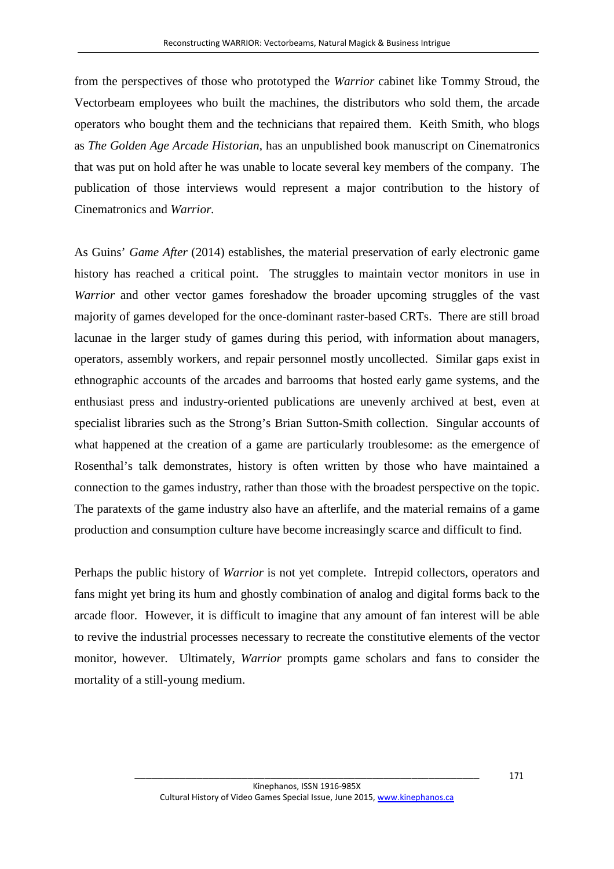from the perspectives of those who prototyped the *Warrior* cabinet like Tommy Stroud, the Vectorbeam employees who built the machines, the distributors who sold them, the arcade operators who bought them and the technicians that repaired them. Keith Smith, who blogs as *The Golden Age Arcade Historian*, has an unpublished book manuscript on Cinematronics that was put on hold after he was unable to locate several key members of the company. The publication of those interviews would represent a major contribution to the history of Cinematronics and *Warrior.*

As Guins' *Game After* (2014) establishes, the material preservation of early electronic game history has reached a critical point. The struggles to maintain vector monitors in use in *Warrior* and other vector games foreshadow the broader upcoming struggles of the vast majority of games developed for the once-dominant raster-based CRTs. There are still broad lacunae in the larger study of games during this period, with information about managers, operators, assembly workers, and repair personnel mostly uncollected. Similar gaps exist in ethnographic accounts of the arcades and barrooms that hosted early game systems, and the enthusiast press and industry-oriented publications are unevenly archived at best, even at specialist libraries such as the Strong's Brian Sutton-Smith collection. Singular accounts of what happened at the creation of a game are particularly troublesome: as the emergence of Rosenthal's talk demonstrates, history is often written by those who have maintained a connection to the games industry, rather than those with the broadest perspective on the topic. The paratexts of the game industry also have an afterlife, and the material remains of a game production and consumption culture have become increasingly scarce and difficult to find.

Perhaps the public history of *Warrior* is not yet complete. Intrepid collectors, operators and fans might yet bring its hum and ghostly combination of analog and digital forms back to the arcade floor. However, it is difficult to imagine that any amount of fan interest will be able to revive the industrial processes necessary to recreate the constitutive elements of the vector monitor, however. Ultimately, *Warrior* prompts game scholars and fans to consider the mortality of a still-young medium.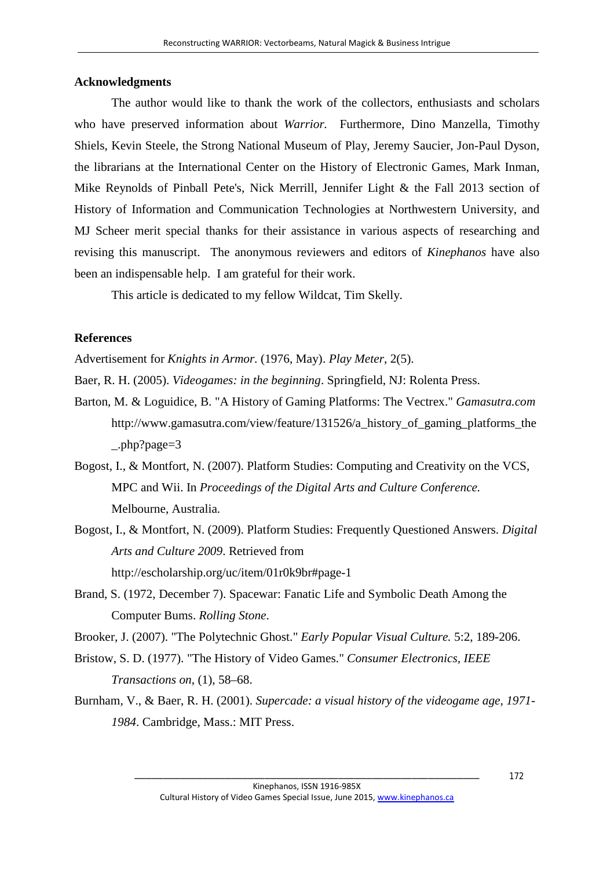#### **Acknowledgments**

The author would like to thank the work of the collectors, enthusiasts and scholars who have preserved information about *Warrior.* Furthermore, Dino Manzella, Timothy Shiels, Kevin Steele, the Strong National Museum of Play, Jeremy Saucier, Jon-Paul Dyson, the librarians at the International Center on the History of Electronic Games, Mark Inman, Mike Reynolds of Pinball Pete's, Nick Merrill, Jennifer Light & the Fall 2013 section of History of Information and Communication Technologies at Northwestern University, and MJ Scheer merit special thanks for their assistance in various aspects of researching and revising this manuscript. The anonymous reviewers and editors of *Kinephanos* have also been an indispensable help. I am grateful for their work.

This article is dedicated to my fellow Wildcat, Tim Skelly.

#### **References**

Advertisement for *Knights in Armor.* (1976, May). *Play Meter*, 2(5).

Baer, R. H. (2005). *Videogames: in the beginning*. Springfield, NJ: Rolenta Press.

- Barton, M. & Loguidice, B. "A History of Gaming Platforms: The Vectrex." *Gamasutra.com* http://www.gamasutra.com/view/feature/131526/a\_history\_of\_gaming\_platforms\_the \_.php?page=3
- Bogost, I., & Montfort, N. (2007). Platform Studies: Computing and Creativity on the VCS, MPC and Wii. In *Proceedings of the Digital Arts and Culture Conference.* Melbourne, Australia.
- Bogost, I., & Montfort, N. (2009). Platform Studies: Frequently Questioned Answers. *Digital Arts and Culture 2009*. Retrieved from http://escholarship.org/uc/item/01r0k9br#page-1
- Brand, S. (1972, December 7). Spacewar: Fanatic Life and Symbolic Death Among the Computer Bums. *Rolling Stone*.
- Brooker, J. (2007). "The Polytechnic Ghost." *Early Popular Visual Culture.* 5:2, 189-206.
- Bristow, S. D. (1977). "The History of Video Games." *Consumer Electronics, IEEE Transactions on*, (1), 58–68.
- Burnham, V., & Baer, R. H. (2001). *Supercade: a visual history of the videogame age, 1971- 1984*. Cambridge, Mass.: MIT Press.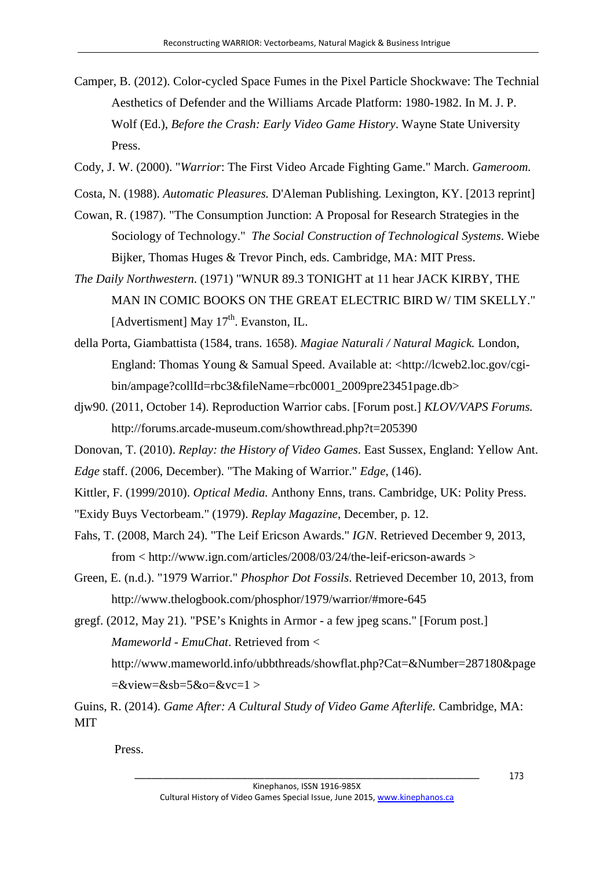- Camper, B. (2012). Color-cycled Space Fumes in the Pixel Particle Shockwave: The Technial Aesthetics of Defender and the Williams Arcade Platform: 1980-1982. In M. J. P. Wolf (Ed.), *Before the Crash: Early Video Game History*. Wayne State University Press.
- Cody, J. W. (2000). "*Warrior*: The First Video Arcade Fighting Game." March. *Gameroom.*
- Costa, N. (1988). *Automatic Pleasures.* D'Aleman Publishing. Lexington, KY. [2013 reprint]
- Cowan, R. (1987). "The Consumption Junction: A Proposal for Research Strategies in the Sociology of Technology." *The Social Construction of Technological Systems*. Wiebe Bijker, Thomas Huges & Trevor Pinch, eds. Cambridge, MA: MIT Press.
- *The Daily Northwestern*. (1971) "WNUR 89.3 TONIGHT at 11 hear JACK KIRBY, THE MAN IN COMIC BOOKS ON THE GREAT ELECTRIC BIRD W/ TIM SKELLY." [Advertisment] May  $17<sup>th</sup>$ . Evanston, IL.
- della Porta, Giambattista (1584, trans. 1658). *Magiae Naturali / Natural Magick.* London, England: Thomas Young & Samual Speed. Available at: <http://lcweb2.loc.gov/cgibin/ampage?collId=rbc3&fileName=rbc0001\_2009pre23451page.db>
- djw90. (2011, October 14). Reproduction Warrior cabs. [Forum post.] *KLOV/VAPS Forums.* http://forums.arcade-museum.com/showthread.php?t=205390
- Donovan, T. (2010). *Replay: the History of Video Games*. East Sussex, England: Yellow Ant.
- *Edge* staff. (2006, December). "The Making of Warrior." *Edge*, (146).
- Kittler, F. (1999/2010). *Optical Media.* Anthony Enns, trans. Cambridge, UK: Polity Press.
- "Exidy Buys Vectorbeam." (1979). *Replay Magazine*, December, p. 12.
- Fahs, T. (2008, March 24). "The Leif Ericson Awards." *IGN*. Retrieved December 9, 2013, from < http://www.ign.com/articles/2008/03/24/the-leif-ericson-awards >
- Green, E. (n.d.). "1979 Warrior." *Phosphor Dot Fossils*. Retrieved December 10, 2013, from http://www.thelogbook.com/phosphor/1979/warrior/#more-645
- gregf. (2012, May 21). "PSE's Knights in Armor a few jpeg scans." [Forum post.] *Mameworld - EmuChat*. Retrieved from <

http://www.mameworld.info/ubbthreads/showflat.php?Cat=&Number=287180&page  $=\&view=\&sb=5\&o=\&vc=1>$ 

Press.

Guins, R. (2014). *Game After: A Cultural Study of Video Game Afterlife.* Cambridge, MA: MIT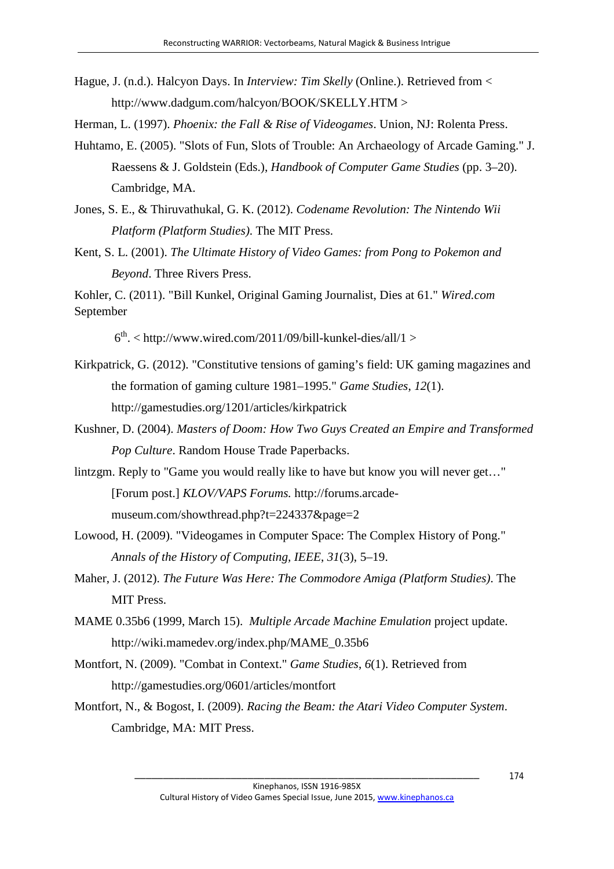- Hague, J. (n.d.). Halcyon Days. In *Interview: Tim Skelly* (Online.). Retrieved from < http://www.dadgum.com/halcyon/BOOK/SKELLY.HTM >
- Herman, L. (1997). *Phoenix: the Fall & Rise of Videogames*. Union, NJ: Rolenta Press.
- Huhtamo, E. (2005). "Slots of Fun, Slots of Trouble: An Archaeology of Arcade Gaming." J. Raessens & J. Goldstein (Eds.), *Handbook of Computer Game Studies* (pp. 3–20). Cambridge, MA.
- Jones, S. E., & Thiruvathukal, G. K. (2012). *Codename Revolution: The Nintendo Wii Platform (Platform Studies)*. The MIT Press.
- Kent, S. L. (2001). *The Ultimate History of Video Games: from Pong to Pokemon and Beyond*. Three Rivers Press.

Kohler, C. (2011). "Bill Kunkel, Original Gaming Journalist, Dies at 61." *Wired.com* September

 $6<sup>th</sup>$ . < http://www.wired.com/2011/09/bill-kunkel-dies/all/1 >

- Kirkpatrick, G. (2012). "Constitutive tensions of gaming's field: UK gaming magazines and the formation of gaming culture 1981–1995." *Game Studies*, *12*(1). http://gamestudies.org/1201/articles/kirkpatrick
- Kushner, D. (2004). *Masters of Doom: How Two Guys Created an Empire and Transformed Pop Culture*. Random House Trade Paperbacks.
- lintzgm. Reply to "Game you would really like to have but know you will never get…" [Forum post.] *KLOV/VAPS Forums.* http://forums.arcademuseum.com/showthread.php?t=224337&page=2
- Lowood, H. (2009). "Videogames in Computer Space: The Complex History of Pong." *Annals of the History of Computing, IEEE*, *31*(3), 5–19.
- Maher, J. (2012). *The Future Was Here: The Commodore Amiga (Platform Studies)*. The MIT Press.
- MAME 0.35b6 (1999, March 15). *Multiple Arcade Machine Emulation* project update. http://wiki.mamedev.org/index.php/MAME\_0.35b6
- Montfort, N. (2009). "Combat in Context." *Game Studies*, *6*(1). Retrieved from http://gamestudies.org/0601/articles/montfort
- Montfort, N., & Bogost, I. (2009). *Racing the Beam: the Atari Video Computer System*. Cambridge, MA: MIT Press.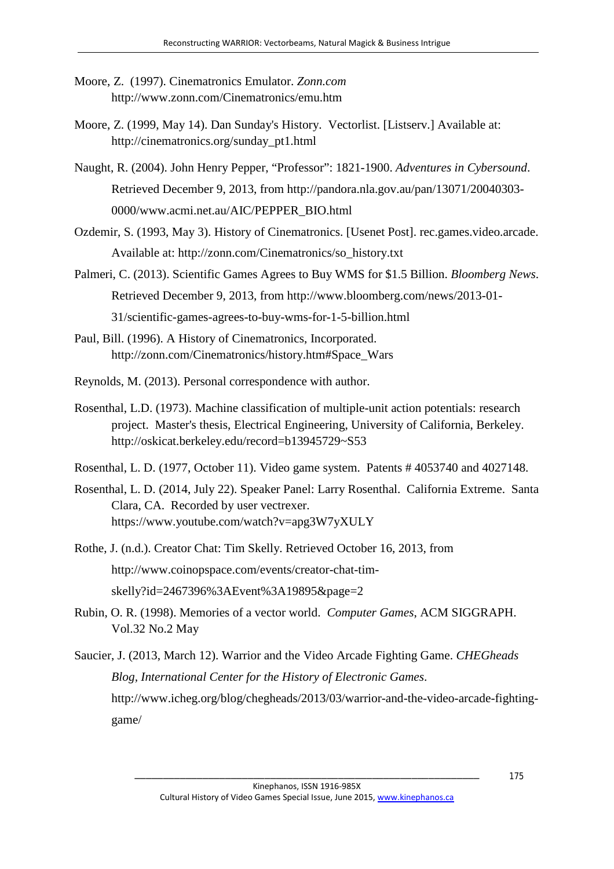- Moore, Z. (1997). Cinematronics Emulator. *Zonn.com*  http://www.zonn.com/Cinematronics/emu.htm
- Moore, Z. (1999, May 14). Dan Sunday's History. Vectorlist. [Listserv.] Available at: http://cinematronics.org/sunday\_pt1.html
- Naught, R. (2004). John Henry Pepper, "Professor": 1821-1900. *Adventures in Cybersound*. Retrieved December 9, 2013, from http://pandora.nla.gov.au/pan/13071/20040303- 0000/www.acmi.net.au/AIC/PEPPER\_BIO.html
- Ozdemir, S. (1993, May 3). History of Cinematronics. [Usenet Post]. rec.games.video.arcade. Available at: http://zonn.com/Cinematronics/so\_history.txt
- Palmeri, C. (2013). Scientific Games Agrees to Buy WMS for \$1.5 Billion. *Bloomberg News*. Retrieved December 9, 2013, from http://www.bloomberg.com/news/2013-01- 31/scientific-games-agrees-to-buy-wms-for-1-5-billion.html
- Paul, Bill. (1996). A History of Cinematronics, Incorporated. http://zonn.com/Cinematronics/history.htm#Space\_Wars
- Reynolds, M. (2013). Personal correspondence with author.
- Rosenthal, L.D. (1973). Machine classification of multiple-unit action potentials: research project. Master's thesis, Electrical Engineering, University of California, Berkeley. http://oskicat.berkeley.edu/record=b13945729~S53
- Rosenthal, L. D. (1977, October 11). Video game system. Patents # 4053740 and 4027148.
- Rosenthal, L. D. (2014, July 22). Speaker Panel: Larry Rosenthal. California Extreme. Santa Clara, CA. Recorded by user vectrexer. https://www.youtube.com/watch?v=apg3W7yXULY
- Rothe, J. (n.d.). Creator Chat: Tim Skelly. Retrieved October 16, 2013, from http://www.coinopspace.com/events/creator-chat-timskelly?id=2467396%3AEvent%3A19895&page=2
- Rubin, O. R. (1998). Memories of a vector world. *Computer Games*, ACM SIGGRAPH. Vol.32 No.2 May
- Saucier, J. (2013, March 12). Warrior and the Video Arcade Fighting Game. *CHEGheads Blog, International Center for the History of Electronic Games*. http://www.icheg.org/blog/chegheads/2013/03/warrior-and-the-video-arcade-fightinggame/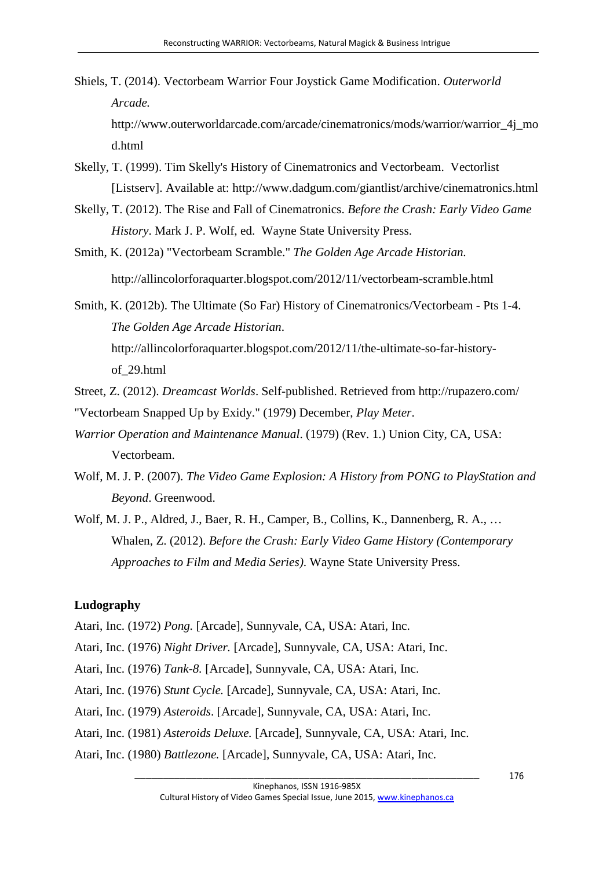- Shiels, T. (2014). Vectorbeam Warrior Four Joystick Game Modification. *Outerworld Arcade.* http://www.outerworldarcade.com/arcade/cinematronics/mods/warrior/warrior\_4j\_mo
- Skelly, T. (1999). Tim Skelly's History of Cinematronics and Vectorbeam. Vectorlist [Listserv]. Available at: http://www.dadgum.com/giantlist/archive/cinematronics.html
- Skelly, T. (2012). The Rise and Fall of Cinematronics. *Before the Crash: Early Video Game History*. Mark J. P. Wolf, ed. Wayne State University Press.
- Smith, K. (2012a) "Vectorbeam Scramble." *The Golden Age Arcade Historian.* http://allincolorforaquarter.blogspot.com/2012/11/vectorbeam-scramble.html

Smith, K. (2012b). The Ultimate (So Far) History of Cinematronics/Vectorbeam - Pts 1-4. *The Golden Age Arcade Historian*. http://allincolorforaquarter.blogspot.com/2012/11/the-ultimate-so-far-historyof\_29.html

- Street, Z. (2012). *Dreamcast Worlds*. Self-published. Retrieved from http://rupazero.com/ "Vectorbeam Snapped Up by Exidy." (1979) December, *Play Meter*.
- *Warrior Operation and Maintenance Manual*. (1979) (Rev. 1.) Union City, CA, USA: Vectorbeam.
- Wolf, M. J. P. (2007). *The Video Game Explosion: A History from PONG to PlayStation and Beyond*. Greenwood.
- Wolf, M. J. P., Aldred, J., Baer, R. H., Camper, B., Collins, K., Dannenberg, R. A., … Whalen, Z. (2012). *Before the Crash: Early Video Game History (Contemporary Approaches to Film and Media Series)*. Wayne State University Press.

#### **Ludography**

d.html

Atari, Inc. (1972) *Pong.* [Arcade], Sunnyvale, CA, USA: Atari, Inc.

- Atari, Inc. (1976) *Night Driver.* [Arcade], Sunnyvale, CA, USA: Atari, Inc.
- Atari, Inc. (1976) *Tank-8.* [Arcade], Sunnyvale, CA, USA: Atari, Inc.
- Atari, Inc. (1976) *Stunt Cycle.* [Arcade], Sunnyvale, CA, USA: Atari, Inc.
- Atari, Inc. (1979) *Asteroids*. [Arcade], Sunnyvale, CA, USA: Atari, Inc.
- Atari, Inc. (1981) *Asteroids Deluxe.* [Arcade], Sunnyvale, CA, USA: Atari, Inc.
- Atari, Inc. (1980) *Battlezone.* [Arcade], Sunnyvale, CA, USA: Atari, Inc.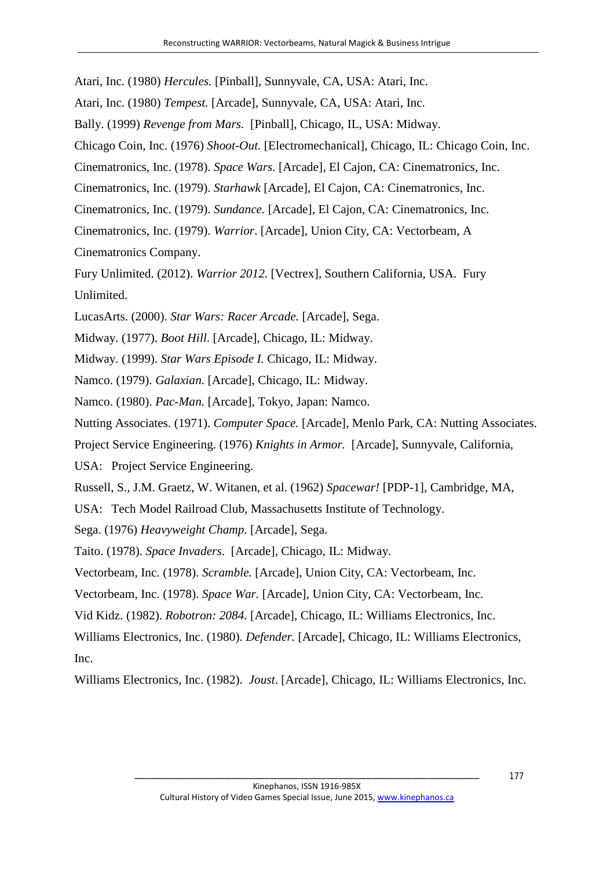Atari, Inc. (1980) *Hercules.* [Pinball], Sunnyvale, CA, USA: Atari, Inc.

Atari, Inc. (1980) *Tempest.* [Arcade], Sunnyvale, CA, USA: Atari, Inc.

Bally. (1999) *Revenge from Mars.* [Pinball], Chicago, IL, USA: Midway.

Chicago Coin, Inc. (1976) *Shoot-Out.* [Electromechanical], Chicago, IL: Chicago Coin, Inc.

Cinematronics, Inc. (1978). *Space Wars.* [Arcade], El Cajon, CA: Cinematronics, Inc.

Cinematronics, Inc. (1979). *Starhawk* [Arcade], El Cajon, CA: Cinematronics, Inc.

Cinematronics, Inc. (1979). *Sundance.* [Arcade], El Cajon, CA: Cinematronics, Inc.

Cinematronics, Inc. (1979). *Warrior*. [Arcade], Union City, CA: Vectorbeam, A Cinematronics Company.

Fury Unlimited. (2012). *Warrior 2012.* [Vectrex], Southern California, USA. Fury Unlimited.

LucasArts. (2000). *Star Wars: Racer Arcade.* [Arcade], Sega.

Midway. (1977). *Boot Hill*. [Arcade], Chicago, IL: Midway.

Midway. (1999). *Star Wars Episode I.* Chicago, IL: Midway.

Namco. (1979). *Galaxian.* [Arcade], Chicago, IL: Midway.

Namco. (1980). *Pac-Man.* [Arcade], Tokyo, Japan: Namco.

Nutting Associates. (1971). *Computer Space.* [Arcade], Menlo Park, CA: Nutting Associates.

Project Service Engineering. (1976) *Knights in Armor.* [Arcade], Sunnyvale, California,

USA: Project Service Engineering.

Russell, S., J.M. Graetz, W. Witanen, et al. (1962) *Spacewar!* [PDP-1], Cambridge, MA,

USA: Tech Model Railroad Club, Massachusetts Institute of Technology.

Sega. (1976) *Heavyweight Champ.* [Arcade], Sega.

Taito. (1978). *Space Invaders*. [Arcade], Chicago, IL: Midway.

Vectorbeam, Inc. (1978). *Scramble.* [Arcade], Union City, CA: Vectorbeam, Inc.

Vectorbeam, Inc. (1978). *Space War.* [Arcade], Union City, CA: Vectorbeam, Inc.

Vid Kidz. (1982). *Robotron: 2084.* [Arcade], Chicago, IL: Williams Electronics, Inc.

Williams Electronics, Inc. (1980). *Defender.* [Arcade], Chicago, IL: Williams Electronics, Inc.

Williams Electronics, Inc. (1982). *Joust*. [Arcade], Chicago, IL: Williams Electronics, Inc.